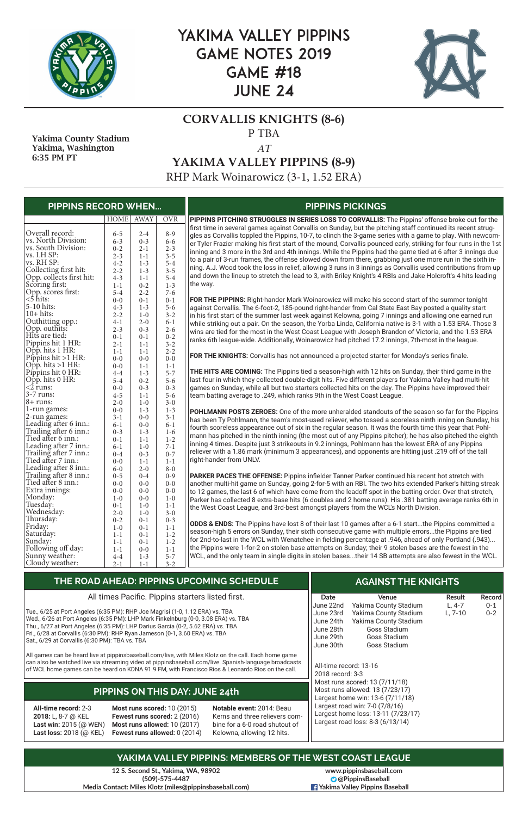

# YAKIMA VALLEY PIPPINS GAME NOTES 2019 GAME #18 JUNE 24



### **CORVALLIS KNIGHTS (8-6)** P TBA

#### *AT*

**YAKIMA VALLEY PIPPINS (8-9)**

RHP Mark Woinarowicz (3-1, 1.52 ERA)

**12 S. Second St., Yakima, WA, 98902 (509)-575-4487 Media Contact: Miles Klotz (miles@pippinsbaseball.com)**

 Yakima County Stadium Yakima, Washington 6:35 PM PT

| <b>PIPPINS RECORD WHEN</b>    |         |             |            | <b>PIPPINS PICKINGS</b>                                                                                                                                                                                                   |
|-------------------------------|---------|-------------|------------|---------------------------------------------------------------------------------------------------------------------------------------------------------------------------------------------------------------------------|
|                               | HOME    | <b>AWAY</b> | <b>OVR</b> | PIPPINS PITCHING STRUGGLES IN SERIES LOSS TO CORVALLIS: The Pippins' offense broke out for the                                                                                                                            |
| Overall record:               | $6 - 5$ | $2 - 4$     | $8 - 9$    | first time in several games against Corvallis on Sunday, but the pitching staff continued its recent strug-<br>gles as Corvallis toppled the Pippins, 10-7, to clinch the 3-game series with a game to play. With newcom- |
| vs. North Division:           | $6 - 3$ | $0 - 3$     | $6 - 6$    | er Tyler Frazier making his first start of the mound, Corvallis pounced early, striking for four runs in the 1st                                                                                                          |
| vs. South Division:           | $0 - 2$ | $2 - 1$     | $2 - 3$    | inning and 3 more in the 3rd and 4th innings. While the Pippins had the game tied at 6 after 3 innings due                                                                                                                |
| vs. LH SP:                    | $2 - 3$ | $1 - 1$     | $3 - 5$    | to a pair of 3-run frames, the offense slowed down from there, grabbing just one more run in the sixth in-                                                                                                                |
| vs. RH SP:                    | $4 - 2$ | $1 - 3$     | $5 - 4$    | ning. A.J. Wood took the loss in relief, allowing 3 runs in 3 innings as Corvallis used contributions from up                                                                                                             |
| Collecting first hit:         | $2 - 2$ | $1 - 3$     | $3 - 5$    |                                                                                                                                                                                                                           |
| Opp. collects first hit:      | $4 - 3$ | $1 - 1$     | $5 - 4$    | and down the lineup to stretch the lead to 3, with Briley Knight's 4 RBIs and Jake Holcroft's 4 hits leading                                                                                                              |
| Scoring first:                | $1-1$   | $0 - 2$     | $1 - 3$    | the way.                                                                                                                                                                                                                  |
| Opp. scores first:            | $5 - 4$ | $2 - 2$     | $7 - 6$    |                                                                                                                                                                                                                           |
| $<$ 5 hits:                   | $0 - 0$ | $0 - 1$     | $0 - 1$    | FOR THE PIPPINS: Right-hander Mark Woinarowicz will make his second start of the summer tonight                                                                                                                           |
| 5-10 hits:                    | $4 - 3$ | $1 - 3$     | $5 - 6$    | against Corvallis. The 6-foot-2, 185-pound right-hander from Cal State East Bay posted a quality start                                                                                                                    |
| $10+$ hits:                   | $2 - 2$ | $1-0$       | $3 - 2$    | in his first start of the summer last week against Kelowna, going 7 innings and allowing one earned run                                                                                                                   |
| Outhitting opp.:              | $4 - 1$ | $2 - 0$     | $6 - 1$    | while striking out a pair. On the season, the Yorba Linda, California native is 3-1 with a 1.53 ERA. Those 3                                                                                                              |
| Opp. outhits:                 | $2 - 3$ | $0 - 3$     | $2 - 6$    | wins are tied for the most in the West Coast League with Joseph Brandon of Victoria, and the 1.53 ERA                                                                                                                     |
| Hits are tied:                | $0 - 1$ | $0 - 1$     | $0 - 2$    | ranks 6th league-wide. Additionally, Woinarowicz had pitched 17.2 innings, 7th-most in the league.                                                                                                                        |
| Pippins hit 1 HR:             | $2 - 1$ | $1 - 1$     | $3 - 2$    |                                                                                                                                                                                                                           |
| $\overline{OPp}$ . hits 1 HR: | $1 - 1$ | $1 - 1$     | $2 - 2$    |                                                                                                                                                                                                                           |
| Pippins hit $>1$ HR:          | $0-0$   | $0-0$       | $0 - 0$    | FOR THE KNIGHTS: Corvallis has not announced a projected starter for Monday's series finale.                                                                                                                              |
| Opp. hits $>1$ HR:            | $0 - 0$ | $1 - 1$     | $1 - 1$    |                                                                                                                                                                                                                           |
| Pippins hit 0 HR:             | $4 - 4$ | $1 - 3$     | $5 - 7$    | <b>THE HITS ARE COMING:</b> The Pippins tied a season-high with 12 hits on Sunday, their third game in the                                                                                                                |
| $\overline{Opp}$ . hits 0 HR: | $5 - 4$ | $0 - 2$     | $5 - 6$    | last four in which they collected double-digit hits. Five different players for Yakima Valley had multi-hit                                                                                                               |
| $\overline{2}$ runs:          | $0 - 0$ | $0 - 3$     | $0 - 3$    | games on Sunday, while all but two starters collected hits on the day. The Pippins have improved their                                                                                                                    |
| $3-7$ runs:                   | $4 - 5$ | $1 - 1$     | $5 - 6$    | team batting average to .249, which ranks 9th in the West Coast League.                                                                                                                                                   |
| $8 + \text{runs:}$            | $2 - 0$ | $1-0$       | $3 - 0$    |                                                                                                                                                                                                                           |
| 1-run games:                  | $0 - 0$ | $1 - 3$     | $1 - 3$    | POHLMANN POSTS ZEROES: One of the more unheralded standouts of the season so far for the Pippins                                                                                                                          |
| 2-run games:                  | $3 - 1$ | $0-0$       | $3 - 1$    |                                                                                                                                                                                                                           |
| Leading after 6 inn.:         | $6 - 1$ | $0-0$       | $6 - 1$    | has been Ty Pohlmann, the team's most-used reliever, who tossed a scoreless ninth inning on Sunday, his                                                                                                                   |
| Trailing after 6 inn.:        | $0 - 3$ | $1 - 3$     | $1-6$      | fourth scoreless appearance out of six in the regular season. It was the fourth time this year that Pohl-                                                                                                                 |
| Tied after 6 inn.:            | $0 - 1$ | $1 - 1$     | $1 - 2$    | mann has pitched in the ninth inning (the most out of any Pippins pitcher); he has also pitched the eighth                                                                                                                |
| Leading after 7 inn.:         | $6 - 1$ | $1-0$       | $7 - 1$    | inning 4 times. Despite just 3 strikeouts in 9.2 innings, Pohlmann has the lowest ERA of any Pippins                                                                                                                      |
| Trailing after 7 inn.:        | $0 - 4$ | $0 - 3$     | $0 - 7$    | reliever with a 1.86 mark (minimum 3 appearances), and opponents are hitting just .219 off of the tall                                                                                                                    |
| Tied after 7 inn.:            | $0 - 0$ | $1 - 1$     | $1 - 1$    | right-hander from UNLV.                                                                                                                                                                                                   |
| Leading after 8 inn.:         | $6-0$   | $2 - 0$     | $8-0$      |                                                                                                                                                                                                                           |
| Trailing after 8 inn.:        | $0 - 5$ | $0 - 4$     | $0 - 9$    | PARKER PACES THE OFFENSE: Pippins infielder Tanner Parker continued his recent hot stretch with                                                                                                                           |
| Tied after 8 inn.:            | $0 - 0$ | $0-0$       | $0 - 0$    | another multi-hit game on Sunday, going 2-for-5 with an RBI. The two hits extended Parker's hitting streak                                                                                                                |
| Extra innings:                | $0-0$   | $0 - 0$     | $0 - 0$    | to 12 games, the last 6 of which have come from the leadoff spot in the batting order. Over that stretch,                                                                                                                 |
| Monday:                       | $1 - 0$ | $0-0$       | $1 - 0$    | Parker has collected 8 extra-base hits (6 doubles and 2 home runs). His .381 batting average ranks 6th in                                                                                                                 |
| Tuesday:                      | $0 - 1$ | $1-0$       | $1 - 1$    |                                                                                                                                                                                                                           |
| Wednesday:                    | $2 - 0$ | $1-0$       | $3 - 0$    | the West Coast League, and 3rd-best amongst players from the WCL's North Division.                                                                                                                                        |
| Thursday:                     | $0 - 2$ | $0 - 1$     | $0 - 3$    |                                                                                                                                                                                                                           |
| Friday:                       | $1-0$   | $0 - 1$     | $1 - 1$    | <b>ODDS &amp; ENDS:</b> The Pippins have lost 8 of their last 10 games after a 6-1 startthe Pippins committed a                                                                                                           |
| Saturday:                     | $1 - 1$ | $0 - 1$     | $1 - 2$    | season-high 5 errors on Sunday, their sixth consecutive game with multiple errorsthe Pippins are tied                                                                                                                     |
| Sunday:                       | $1 - 1$ | $0 - 1$     | $1 - 2$    | for 2nd-to-last in the WCL with Wenatchee in fielding percentage at .946, ahead of only Portland (.943)                                                                                                                   |
| Following off day:            | $1 - 1$ | $0-0$       | $1 - 1$    | the Pippins were 1-for-2 on stolen base attempts on Sunday; their 9 stolen bases are the fewest in the                                                                                                                    |
| Sunny weather:                | $4 - 4$ | $1 - 3$     | $5 - 7$    | WCL, and the only team in single digits in stolen basestheir 14 SB attempts are also fewest in the WCL.                                                                                                                   |
| Cloudy weather:               | $2 - 1$ | $1 - 1$     | $3 - 2$    |                                                                                                                                                                                                                           |
|                               |         |             |            |                                                                                                                                                                                                                           |

| THE ROAD AHEAD: PIPPINS UPCOMING SCHEDULE $^{\dagger}$ |      | <b>AGAINST THE KNIGHTS</b> |               |        |
|--------------------------------------------------------|------|----------------------------|---------------|--------|
| All times Pacific. Pippins starters listed first.      | Date | <b>Venue</b>               | <b>Result</b> | Record |

|                                                                                                        | The correct countries in applied because indication.<br>Tue., 6/25 at Port Angeles (6:35 PM): RHP Joe Magrisi (1-0, 1.12 ERA) vs. TBA<br>Wed., 6/26 at Port Angeles (6:35 PM): LHP Mark Finkelnburg (0-0, 3.08 ERA) vs. TBA<br>Thu., 6/27 at Port Angeles (6:35 PM): LHP Darius Garcia (0-2, 5.62 ERA) vs. TBA |                                                                                                                             | Dacc<br>June 22nd<br>June 23rd<br>June 24th<br>June 28th | <b>VEHUE</b><br>Yakima County Stadium<br>Yakima County Stadium<br>Yakima County Stadium<br>Goss Stadium  | ncəul<br>$L, 4-7$<br>$L, 7-10$ | ו וככטו ט<br>$0 - 1$<br>$0 - 2$ |
|--------------------------------------------------------------------------------------------------------|----------------------------------------------------------------------------------------------------------------------------------------------------------------------------------------------------------------------------------------------------------------------------------------------------------------|-----------------------------------------------------------------------------------------------------------------------------|----------------------------------------------------------|----------------------------------------------------------------------------------------------------------|--------------------------------|---------------------------------|
| Sat., 6/29 at Corvallis (6:30 PM): TBA vs. TBA                                                         | Fri., 6/28 at Corvallis (6:30 PM): RHP Ryan Jameson (0-1, 3.60 ERA) vs. TBA<br>All games can be heard live at pippinsbaseball.com/live, with Miles Klotz on the call. Each home game                                                                                                                           |                                                                                                                             | June 29th<br>June 30th                                   | <b>Goss Stadium</b><br><b>Goss Stadium</b>                                                               |                                |                                 |
|                                                                                                        | can also be watched live via streaming video at pippinsbaseball.com/live. Spanish-language broadcasts<br>of WCL home games can be heard on KDNA 91.9 FM, with Francisco Rios & Leonardo Rios on the call.                                                                                                      |                                                                                                                             | All-time record: 13-16<br>2018 record: 3-3               |                                                                                                          |                                |                                 |
|                                                                                                        | <b>PIPPINS ON THIS DAY: JUNE 24th</b>                                                                                                                                                                                                                                                                          |                                                                                                                             |                                                          | Most runs scored: 13 (7/11/18)<br>Most runs allowed: 13 (7/23/17)<br>Largest home win: 13-6 (7/11/18)    |                                |                                 |
| All-time record: 2-3<br><b>2018:</b> L, 8-7 @ KEL<br>Last win: 2015 (@ WEN)<br>Last loss: 2018 (@ KEL) | <b>Most runs scored: 10 (2015)</b><br>Fewest runs scored: 2 (2016)<br>Most runs allowed: 10 (2017)<br>Fewest runs allowed: 0 (2014)                                                                                                                                                                            | Notable event: 2014: Beau<br>Kerns and three relievers com-<br>bine for a 6-0 road shutout of<br>Kelowna, allowing 12 hits. |                                                          | Largest road win: 7-0 (7/8/16)<br>Largest home loss: 13-11 (7/23/17)<br>Largest road loss: 8-3 (6/13/14) |                                |                                 |
|                                                                                                        |                                                                                                                                                                                                                                                                                                                | YAKIMA VALLEY PIPPINS: MEMBERS OF THE WEST COAST LEAGUE                                                                     |                                                          |                                                                                                          |                                |                                 |

**www.pippinsbaseball.com @PippinsBaseball Yakima Valley Pippins Baseball**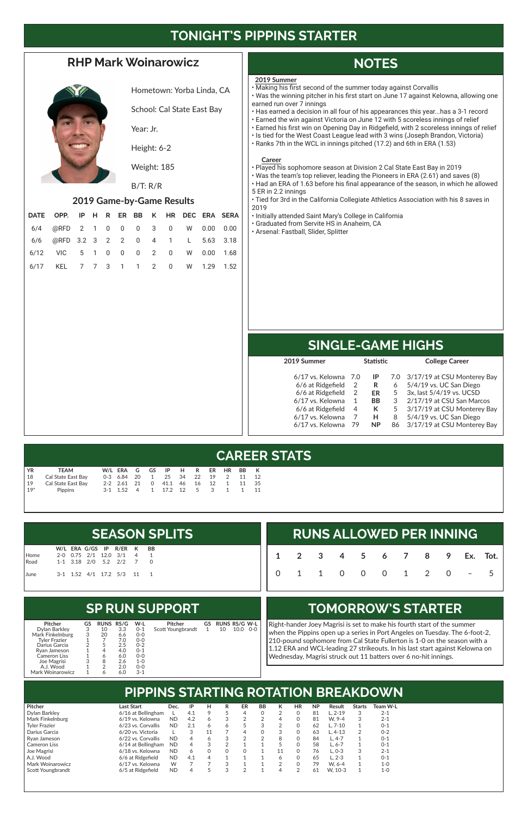# **TONIGHT'S PIPPINS STARTER**

### **RHP Mark Woinarowicz**



Hometown: Yorba Linda, CA

School: Cal State East Bay

Year: Jr.

Height: 6-2

Weight: 185

#### B/T: R/R

#### **2019 Game-by-Game Results**

Ro June

| DATE OPP. IP H R ER BB K HR DEC ERA SERA |  |  |  |  |  |
|------------------------------------------|--|--|--|--|--|
| 6/4 @RFD 2 1 0 0 0 3 0 W 0.00 0.00       |  |  |  |  |  |
| 6/6 @RFD 3.2 3 2 2 0 4 1 L 5.63 3.18     |  |  |  |  |  |
| 6/12 VIC 5 1 0 0 0 2 0 W 0.00 1.68       |  |  |  |  |  |
| 6/17 KEL 7 7 3 1 1 2 0 W 1.29 1.52       |  |  |  |  |  |

# **NOTES**

# **SINGLE-GAME HIGHS**

# **CAREER STATS**

# **PIPPINS STARTING ROTATION BREAKDOWN**

### **SP RUN SUPPORT**

# **TOMORROW'S STARTER**

| <b>RUNS ALLOWED PER INNING</b> |  |  |  |  |  |  |  |                            |  |  |  |
|--------------------------------|--|--|--|--|--|--|--|----------------------------|--|--|--|
|                                |  |  |  |  |  |  |  | 1 2 3 4 5 6 7 8 9 Ex. Tot. |  |  |  |
|                                |  |  |  |  |  |  |  | 0 1 1 0 0 0 1 2 0 - 5      |  |  |  |

Right-hander Joey Magrisi is set to make his fourth start of the summer when the Pippins open up a series in Port Angeles on Tuesday. The 6-foot-2, 210-pound sophomore from Cal State Fullerton is 1-0 on the season with a 1.12 ERA and WCL-leading 27 strikeouts. In his last start against Kelowna on Wednesday, Magrisi struck out 11 batters over 6 no-hit innings.

|      |  |  |                            |  | <b>SEASON SPLITS</b> |  |  |
|------|--|--|----------------------------|--|----------------------|--|--|
|      |  |  | W/L ERA G/GS IP R/ER K BB  |  |                      |  |  |
| Home |  |  | 2-0 0.75 2/1 12.0 3/1 4 1  |  |                      |  |  |
| Road |  |  | 1-1 3.18 2/0 5.2 2/2 7 0   |  |                      |  |  |
| June |  |  | 3-1 1.52 4/1 17.2 5/3 11 1 |  |                      |  |  |

| YR             | <b>TEAM</b>        |  |  | W/LERAGGS IPHR                |  | ER HR BB K |    |       |
|----------------|--------------------|--|--|-------------------------------|--|------------|----|-------|
| $\frac{18}{2}$ | Cal State East Bav |  |  | 0-3 6.84 20 1 25 34 22 19 2   |  |            | 11 | - 12  |
| 19             | Cal State East Bay |  |  | 2-2 2.61 21 0 41.1 46 16 12 1 |  |            |    | 11 35 |
| $19*$          | Pippins            |  |  | 3-1 1.52 4 1 17.2 12 5 3 1    |  |            | 1  | 11    |

| <b>Pitcher</b>       | Last Start         | Dec.      | IP  | н  | R | ER | BB | <b>HR</b> | <b>NP</b> | Result   | <b>Starts</b> | Team W-L |
|----------------------|--------------------|-----------|-----|----|---|----|----|-----------|-----------|----------|---------------|----------|
| Dylan Barkley        | 6/16 at Bellingham |           | 4.1 |    |   | 4  |    |           | 81        | L. 2-19  |               | $2 - 1$  |
| Mark Finkelnburg     | 6/19 vs. Kelowna   | <b>ND</b> | 4.2 | 6  | 3 |    |    |           | 81        | W. 9-4   |               | $2 - 1$  |
| <b>Tyler Frazier</b> | 6/23 vs. Corvallis | <b>ND</b> | 2.1 | 6  | 6 |    |    |           | 62        | $L.7-10$ |               | $0 - 1$  |
| Darius Garcia        | 6/20 vs. Victoria  |           | ↷   | 11 |   | 4  |    |           | 63        | L. 4-13  |               | $0 - 2$  |
| Rvan Jameson         | 6/22 vs. Corvallis | <b>ND</b> | 4   |    | З |    |    |           | 84        | L. 4-7   |               | $0 - 1$  |
| <b>Cameron Liss</b>  | 6/14 at Bellingham | <b>ND</b> |     |    |   |    |    |           | 58        | L. 6-7   |               | $0 - 1$  |
| Joe Magrisi          | 6/18 vs. Kelowna   | <b>ND</b> | 6   |    | 0 |    |    |           | 76        | $L. 0-3$ |               | $2 - 1$  |
| A.J. Wood            | 6/6 at Ridgefield  | <b>ND</b> | 4.1 |    |   |    |    |           | 65        | L. 2-3   |               | $0 - 1$  |
| Mark Woinarowicz     | 6/17 vs. Kelowna   | W         |     |    | З |    |    |           | 79        | W. 6-4   |               | 1-0      |
| Scott Youngbrandt    | 6/5 at Ridgefield  | <b>ND</b> |     |    | ↷ | ⌒  |    |           | 61        | W. 10-3  |               | 1-0      |

| 2019 Summer       |               | <b>Statistic</b> |    | <b>College Career</b>           |
|-------------------|---------------|------------------|----|---------------------------------|
| 6/17 vs. Kelowna  | 7.0           | IP               |    | 7.0 3/17/19 at CSU Monterey Bay |
| 6/6 at Ridgefield | 2             | R                | 6  | 5/4/19 vs. UC San Diego         |
| 6/6 at Ridgefield | $\mathcal{P}$ | ER               | 5  | 3x, last 5/4/19 vs. UCSD        |
| 6/17 vs. Kelowna  | 1             | <b>BB</b>        | 3  | 2/17/19 at CSU San Marcos       |
| 6/6 at Ridgefield | 4             | К                | 5  | 3/17/19 at CSU Monterey Bay     |
| 6/17 vs. Kelowna  | 7             | н                | 8  | 5/4/19 vs. UC San Diego         |
| 6/17 vs. Kelowna  | 79            | <b>NP</b>        | 86 | 3/17/19 at CSU Monterey Bay     |
|                   |               |                  |    |                                 |

| Pitcher             | GS | <b>RUNS RS/G</b> |     | W-L     | Pitcher           |   | GS RUNS RS/G W-L |      |       |
|---------------------|----|------------------|-----|---------|-------------------|---|------------------|------|-------|
| Dylan Barkley       | 3  | 10               | 3.3 | $0 - 1$ | Scott Youngbrandt | 1 | 10               | 10.0 | $O-O$ |
| Mark Finkelnburg    | 3  | 20               | 6.6 | $0-0$   |                   |   |                  |      |       |
| Tyler Frazier       |    |                  | 7.0 | $0-0$   |                   |   |                  |      |       |
| Darius Garcia       |    | 5                | 2.5 | $0 - 2$ |                   |   |                  |      |       |
| Rvan Jameson        |    | 4                | 4.0 | $0 - 1$ |                   |   |                  |      |       |
| <b>Cameron Liss</b> |    | 6                | 6.0 | $0-0$   |                   |   |                  |      |       |
| Joe Magrisi         | 3  | 8                | 2.6 | $1 - 0$ |                   |   |                  |      |       |
| A.J. Wood           |    | 2                | 2.0 | $0-0$   |                   |   |                  |      |       |
| Mark Woinarowicz    |    |                  | 6.0 | $3 - 1$ |                   |   |                  |      |       |

#### **2019 Summer**

- Making his first second of the summer today against Corvallis
- Was the winning pitcher in his first start on June 17 against Kelowna, allowing one earned run over 7 innings
- Has earned a decision in all four of his appearances this year...has a 3-1 record • Earned the win against Victoria on June 12 with 5 scoreless innings of relief
- Earned his first win on Opening Day in Ridgefield, with 2 scoreless innings of relief
- Is tied for the West Coast League lead with 3 wins (Joseph Brandon, Victoria)
- Ranks 7th in the WCL in innings pitched (17.2) and 6th in ERA (1.53)

#### **Career**

- Played his sophomore season at Division 2 Cal State East Bay in 2019
- Was the team's top reliever, leading the Pioneers in ERA (2.61) and saves (8)
- Had an ERA of 1.63 before his final appearance of the season, in which he allowed 5 ER in 2.2 innings
- Tied for 3rd in the California Collegiate Athletics Association with his 8 saves in 2019
- Initially attended Saint Mary's College in California
- Graduated from Servite HS in Anaheim, CA
- Arsenal: Fastball, Slider, Splitter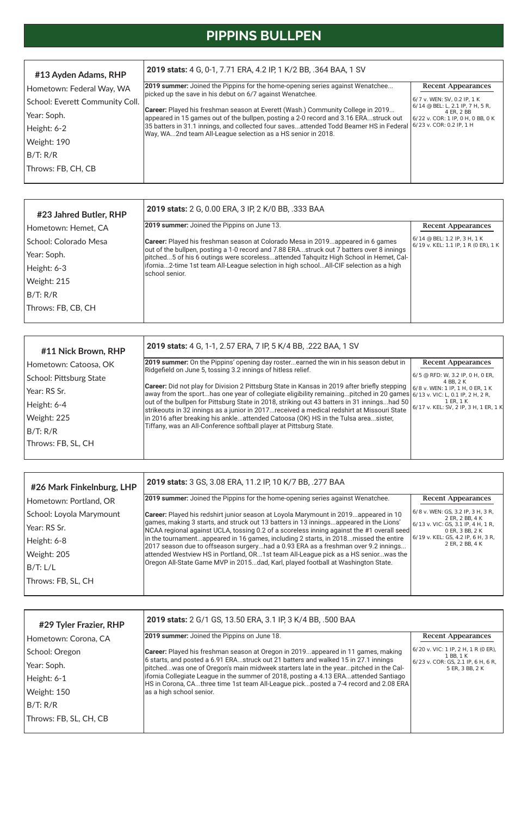# **PIPPINS BULLPEN**

| #11 Nick Brown, RHP     | 2019 stats: 4 G, 1-1, 2.57 ERA, 7 IP, 5 K/4 BB, .222 BAA, 1 SV                                                                                                                                                                    |                                                      |
|-------------------------|-----------------------------------------------------------------------------------------------------------------------------------------------------------------------------------------------------------------------------------|------------------------------------------------------|
| Hometown: Catoosa, OK   | 2019 summer: On the Pippins' opening day rosterearned the win in his season debut in<br>Ridgefield on June 5, tossing 3.2 innings of hitless relief.                                                                              | <b>Recent Appearances</b>                            |
| School: Pittsburg State |                                                                                                                                                                                                                                   | 6/5 @ RFD: W, 3.2 IP, 0 H, 0 ER,<br>4 BB, 2 K        |
| l Year: RS Sr.          | <b>Career:</b> Did not play for Division 2 Pittsburg State in Kansas in 2019 after briefly stepping<br>away from the sporthas one year of collegiate eligibility remainingpitched in 20 games $6/13$ v. VIC: L, 0.1 IP, 2 H, 2 R, | 6/8 v. WEN: 1 IP, 1 H, 0 ER, 1 K                     |
| Height: 6-4             | out of the bullpen for Pittsburg State in 2018, striking out 43 batters in 31 inningshad 50<br>strikeouts in 32 innings as a junior in 2017received a medical redshirt at Missouri State                                          | 1 ER, 1 K<br>$6/17$ v. KEL: SV, 2 IP, 3 H, 1 ER, 1 K |
| Weight: 225             | in 2016 after breaking his ankleattended Catoosa (OK) HS in the Tulsa areasister,                                                                                                                                                 |                                                      |
| B/T: R/R                | Tiffany, was an All-Conference softball player at Pittsburg State.                                                                                                                                                                |                                                      |
| Throws: FB, SL, CH      |                                                                                                                                                                                                                                   |                                                      |

| #13 Ayden Adams, RHP            | 2019 stats: 4 G, 0-1, 7.71 ERA, 4.2 IP, 1 K/2 BB, .364 BAA, 1 SV                                                                                                        |                                                                   |
|---------------------------------|-------------------------------------------------------------------------------------------------------------------------------------------------------------------------|-------------------------------------------------------------------|
| Hometown: Federal Way, WA       | <b>2019 summer:</b> Joined the Pippins for the home-opening series against Wenatchee<br>picked up the save in his debut on 6/7 against Wenatchee.                       | <b>Recent Appearances</b>                                         |
| School: Everett Community Coll. |                                                                                                                                                                         | 6/7 v. WEN: SV, 0.2 IP, 1 K<br>  6/14 @ BEL: L, 2.1 IP, 7 H, 5 R, |
| Year: Soph.                     | Career: Played his freshman season at Everett (Wash.) Community College in 2019<br>appeared in 15 games out of the bullpen, posting a 2-0 record and 3.16 ERAstruck out | 4 ER, 2 BB<br>6/22 v. COR: 1 IP, 0 H, 0 BB, 0 K                   |
| Height: 6-2                     | 35 batters in 31.1 innings, and collected four savesattended Todd Beamer HS in Federal<br>Way, WA2nd team All-League selection as a HS senior in 2018.                  | $6/23$ v. COR: 0.2 IP, 1 H                                        |
| Weight: 190                     |                                                                                                                                                                         |                                                                   |
| B/T: R/R                        |                                                                                                                                                                         |                                                                   |
| Throws: FB, CH, CB              |                                                                                                                                                                         |                                                                   |

| #23 Jahred Butler, RHP | 2019 stats: 2 G, 0.00 ERA, 3 IP, 2 K/0 BB, .333 BAA                                                                                                                              |                                                                        |
|------------------------|----------------------------------------------------------------------------------------------------------------------------------------------------------------------------------|------------------------------------------------------------------------|
| Hometown: Hemet, CA    | <b>2019 summer:</b> Joined the Pippins on June 13.                                                                                                                               | <b>Recent Appearances</b>                                              |
| School: Colorado Mesa  | <b>Career:</b> Played his freshman season at Colorado Mesa in 2019appeared in 6 games                                                                                            | 6/14 @ BEL: 1.2 IP, 3 H, 1 K<br>$6/19$ v. KEL: 1.1 IP, 1 R (0 ER), 1 K |
| Year: Soph.            | out of the bullpen, posting a 1-0 record and 7.88 ERAstruck out 7 batters over 8 innings<br>pitched5 of his 6 outings were scorelessattended Tahquitz High School in Hemet, Cal- |                                                                        |
| Height: 6-3            | lifornia2-time 1st team All-League selection in high schoolAll-CIF selection as a high<br>school senior.                                                                         |                                                                        |
| Weight: 215            |                                                                                                                                                                                  |                                                                        |
| B/T: R/R               |                                                                                                                                                                                  |                                                                        |
| Throws: FB, CB, CH     |                                                                                                                                                                                  |                                                                        |
|                        |                                                                                                                                                                                  |                                                                        |

| 2019 stats: 3 GS, 3.08 ERA, 11.2 IP, 10 K/7 BB, .277 BAA                                  |                                                                                                                                                                                                                                                                                                                                                       |
|-------------------------------------------------------------------------------------------|-------------------------------------------------------------------------------------------------------------------------------------------------------------------------------------------------------------------------------------------------------------------------------------------------------------------------------------------------------|
| [2019 summer: Joined the Pippins for the home-opening series against Wenatchee.           | <b>Recent Appearances</b>                                                                                                                                                                                                                                                                                                                             |
| Career: Played his redshirt junior season at Loyola Marymount in 2019appeared in 10       | 6/8 v. WEN: GS, 3.2 IP, 3 H, 3 R,<br>2 ER, 2 BB, 4 K                                                                                                                                                                                                                                                                                                  |
| NCAA regional against UCLA, tossing 0.2 of a scoreless inning against the #1 overall seed | 6/13 v. VIC: GS, 3.1 IP, 4 H, 1 R,<br>0 ER, 3 BB, 2 K                                                                                                                                                                                                                                                                                                 |
|                                                                                           | $6/19$ v. KEL: GS, 4.2 IP, 6 H, 3 R,<br>2 ER. 2 BB. 4 K                                                                                                                                                                                                                                                                                               |
| attended Westview HS in Portland, OR1st team All-League pick as a HS seniorwas the        |                                                                                                                                                                                                                                                                                                                                                       |
|                                                                                           |                                                                                                                                                                                                                                                                                                                                                       |
|                                                                                           |                                                                                                                                                                                                                                                                                                                                                       |
|                                                                                           | games, making 3 starts, and struck out 13 batters in 13 inningsappeared in the Lions'<br>in the tournamentappeared in 16 games, including 2 starts, in 2018missed the entire<br>2017 season due to offseason surgeryhad a 0.93 ERA as a freshman over 9.2 innings<br>Oregon All-State Game MVP in 2015dad, Karl, played football at Washington State. |

| #29 Tyler Frazier, RHP | 2019 stats: 2 G/1 GS, 13.50 ERA, 3.1 IP, 3 K/4 BB, .500 BAA                                                                                                                 |                                                                                                      |
|------------------------|-----------------------------------------------------------------------------------------------------------------------------------------------------------------------------|------------------------------------------------------------------------------------------------------|
| Hometown: Corona, CA   | <b>2019 summer:</b> Joined the Pippins on June 18.                                                                                                                          | <b>Recent Appearances</b>                                                                            |
| School: Oregon         | <b>Career:</b> Played his freshman season at Oregon in 2019appeared in 11 games, making                                                                                     | $(6/20 \text{ v.} \text{ VIC: } 1 \text{ IP}, 2 \text{ H}, 1 \text{ R} (0 \text{ ER}),$<br>1 BB, 1 K |
| Year: Soph.            | 6 starts, and posted a 6.91 ERAstruck out 21 batters and walked 15 in 27.1 innings<br>pitchedwas one of Oregon's main midweek starters late in the yearpitched in the Cal-  | $6/23$ v. COR: GS, 2.1 IP, 6 H, 6 R,<br>5 ER, 3 BB, 2 K                                              |
| Height: 6-1            | ifornia Collegiate League in the summer of 2018, posting a 4.13 ERAattended Santiago<br>HS in Corona, CAthree time 1st team All-League pickposted a 7-4 record and 2.08 ERA |                                                                                                      |
| Weight: 150            | as a high school senior.                                                                                                                                                    |                                                                                                      |
| B/T: R/R               |                                                                                                                                                                             |                                                                                                      |
| Throws: FB, SL, CH, CB |                                                                                                                                                                             |                                                                                                      |
|                        |                                                                                                                                                                             |                                                                                                      |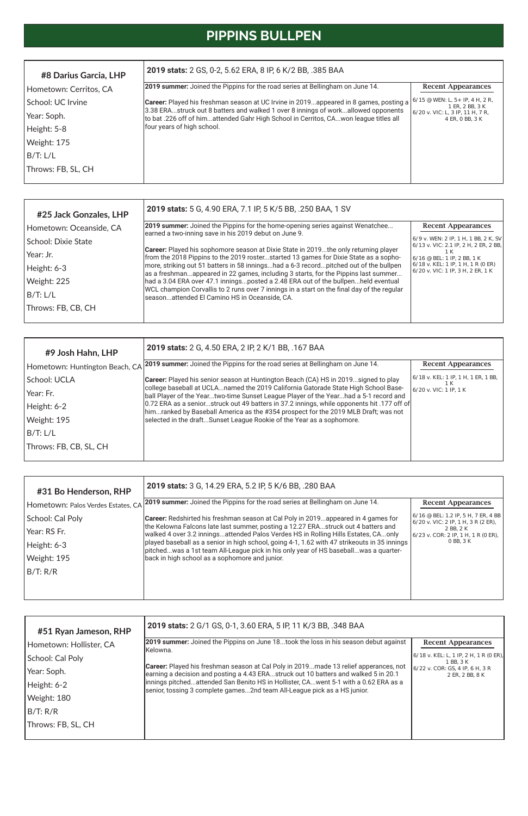# **PIPPINS BULLPEN**

| #9 Josh Hahn, LHP              | 2019 stats: 2 G, 4.50 ERA, 2 IP, 2 K/1 BB, .167 BAA                                                                                                                               |                                            |
|--------------------------------|-----------------------------------------------------------------------------------------------------------------------------------------------------------------------------------|--------------------------------------------|
| Hometown: Huntington Beach, CA | 2019 summer: Joined the Pippins for the road series at Bellingham on June 14.                                                                                                     | <b>Recent Appearances</b>                  |
| School: UCLA                   | <b>Career:</b> Played his senior season at Huntington Beach (CA) HS in 2019signed to play                                                                                         | 6/18 v. KEL: 1 IP, 1 H, 1 ER, 1 BB,<br>1 K |
| Year: Fr.                      | college baseball at UCLAnamed the 2019 California Gatorade State High School Base-<br>ball Player of the Yeartwo-time Sunset League Player of the Yearhad a 5-1 record and        | 6/20 v. VIC: 1 IP. 1 K                     |
| Height: 6-2                    | [0.72 ERA as a seniorstruck out 49 batters in 37.2 innings, while opponents hit .177 off of<br>himranked by Baseball America as the #354 prospect for the 2019 MLB Draft; was not |                                            |
| Weight: 195                    | selected in the draftSunset League Rookie of the Year as a sophomore.                                                                                                             |                                            |
| B/T: L/L                       |                                                                                                                                                                                   |                                            |
| Throws: FB, CB, SL, CH         |                                                                                                                                                                                   |                                            |

| #31 Bo Henderson, RHP              | 2019 stats: 3 G, 14.29 ERA, 5.2 IP, 5 K/6 BB, .280 BAA                                                                                                                              |                                                                                                |
|------------------------------------|-------------------------------------------------------------------------------------------------------------------------------------------------------------------------------------|------------------------------------------------------------------------------------------------|
| Hometown: Palos Verdes Estates, CA | <b>2019 summer:</b> Joined the Pippins for the road series at Bellingham on June 14.                                                                                                | <b>Recent Appearances</b>                                                                      |
| School: Cal Poly                   | <b>Career:</b> Redshirted his freshman season at Cal Poly in 2019appeared in 4 games for                                                                                            | 6/16 @ BEL: 1.2 IP, 5 H, 7 ER, 4 BB<br>$6/20$ v. VIC: 2 IP, 1 H, 3 R (2 ER),                   |
| Year: RS Fr.                       | the Kelowna Falcons late last summer, posting a 12.27 ERAstruck out 4 batters and<br>walked 4 over 3.2 inningsattended Palos Verdes HS in Rolling Hills Estates, CAonly             | 2 BB, 2 K<br>$(6/23 \text{ v. COR: } 2 \text{ IP, } 1 \text{ H, } 1 \text{ R} (0 \text{ ER}),$ |
| Height: 6-3                        | played baseball as a senior in high school, going 4-1, 1.62 with 47 strikeouts in 35 innings<br>pitchedwas a 1st team All-League pick in his only year of HS baseballwas a quarter- | 0 BB, 3 K                                                                                      |
| Weight: 195                        | back in high school as a sophomore and junior.                                                                                                                                      |                                                                                                |
| B/T: R/R                           |                                                                                                                                                                                     |                                                                                                |
|                                    |                                                                                                                                                                                     |                                                                                                |

| #25 Jack Gonzales, LHP  | 2019 stats: 5 G, 4.90 ERA, 7.1 IP, 5 K/5 BB, .250 BAA, 1 SV                                                                                                                        |                                                                                                                                                                                          |
|-------------------------|------------------------------------------------------------------------------------------------------------------------------------------------------------------------------------|------------------------------------------------------------------------------------------------------------------------------------------------------------------------------------------|
| Hometown: Oceanside, CA | <b>2019 summer:</b> Joined the Pippins for the home-opening series against Wenatchee<br>earned a two-inning save in his 2019 debut on June 9.                                      | <b>Recent Appearances</b>                                                                                                                                                                |
| School: Dixie State     |                                                                                                                                                                                    | $(6/9 \text{ v. WEN: } 2 \text{ IP. } 1 \text{ H. } 1 \text{ BB. } 2 \text{ K. } \text{SV}$<br>$(6/13 \text{ v.} \text{ VIC: } 2.1 \text{ IP}, 2 \text{ H}, 2 \text{ ER}, 2 \text{ BB},$ |
| Year: Jr.               | <b>Career:</b> Played his sophomore season at Dixie State in 2019the only returning player<br>from the 2018 Pippins to the 2019 rosterstarted 13 games for Dixie State as a sopho- | 1 K<br>$6/16$ @ BEL: 1 IP, 2 BB, 1 K                                                                                                                                                     |
| Height: 6-3             | more, striking out 51 batters in 58 inningshad a 6-3 recordpitched out of the bullpen<br>as a freshmanappeared in 22 games, including 3 starts, for the Pippins last summer        | 6/18 v. KEL: 1 IP, 1 H, 1 R (0 ER)<br>6/20 v. VIC: 1 IP, 3 H, 2 ER, 1 K                                                                                                                  |
| Weight: 225             | had a 3.04 ERA over 47.1 inningsposted a 2.48 ERA out of the bullpenheld eventual                                                                                                  |                                                                                                                                                                                          |
| B/T: L/L                | WCL champion Corvallis to 2 runs over 7 innings in a start on the final day of the regular<br>seasonattended El Camino HS in Oceanside, CA.                                        |                                                                                                                                                                                          |
| Throws: FB, CB, CH      |                                                                                                                                                                                    |                                                                                                                                                                                          |
|                         |                                                                                                                                                                                    |                                                                                                                                                                                          |

| #8 Darius Garcia, LHP  | <b>2019 stats:</b> 2 GS, 0-2, 5.62 ERA, 8 IP, 6 K/2 BB, .385 BAA                                                                                                            |                                                      |
|------------------------|-----------------------------------------------------------------------------------------------------------------------------------------------------------------------------|------------------------------------------------------|
| Hometown: Cerritos, CA | [2019 summer: Joined the Pippins for the road series at Bellingham on June 14.                                                                                              | <b>Recent Appearances</b>                            |
| School: UC Irvine      | Career: Played his freshman season at UC Irvine in 2019appeared in 8 games, posting a                                                                                       | $6/15$ @ WEN: L, 5+ IP, 4 H, 2 R,<br>1 ER, 2 BB, 3 K |
| Year: Soph.            | [3.38 ERAstruck out 8 batters and walked 1 over 8 innings of workallowed opponents<br>Ito bat .226 off of himattended Gahr High School in Cerritos, CAwon league titles all | 6/20 v. VIC: L, 3 IP, 11 H, 7 R,<br>4 ER, 0 BB, 3 K  |
| Height: 5-8            | four years of high school.                                                                                                                                                  |                                                      |
| Weight: 175            |                                                                                                                                                                             |                                                      |
| B/T: L/L               |                                                                                                                                                                             |                                                      |
| Throws: FB, SL, CH     |                                                                                                                                                                             |                                                      |
|                        |                                                                                                                                                                             |                                                      |

| #51 Ryan Jameson, RHP   | 2019 stats: 2 G/1 GS, 0-1, 3.60 ERA, 5 IP, 11 K/3 BB, .348 BAA                                                                                                              |                                                               |
|-------------------------|-----------------------------------------------------------------------------------------------------------------------------------------------------------------------------|---------------------------------------------------------------|
| Hometown: Hollister, CA | 2019 summer: Joined the Pippins on June 18took the loss in his season debut against<br>lKelowna.                                                                            | <b>Recent Appearances</b>                                     |
| School: Cal Poly        |                                                                                                                                                                             | $(6/18 \text{ v. KEL: L, 1 IP, 2 H, 1 R (0 ER))$<br>1 BB, 3 K |
| Year: Soph.             | Career: Played his freshman season at Cal Poly in 2019made 13 relief apperances, not<br>earning a decision and posting a 4.43 ERAstruck out 10 batters and walked 5 in 20.1 | $6/22$ v. COR: GS, 4 IP, 6 H, 3 R<br>2 ER, 2 BB, 8 K          |
| Height: 6-2             | innings pitchedattended San Benito HS in Hollister, CAwent 5-1 with a 0.62 ERA as a<br>senior, tossing 3 complete games2nd team All-League pick as a HS junior.             |                                                               |
| Weight: 180             |                                                                                                                                                                             |                                                               |
| B/T: R/R                |                                                                                                                                                                             |                                                               |
| Throws: FB, SL, CH      |                                                                                                                                                                             |                                                               |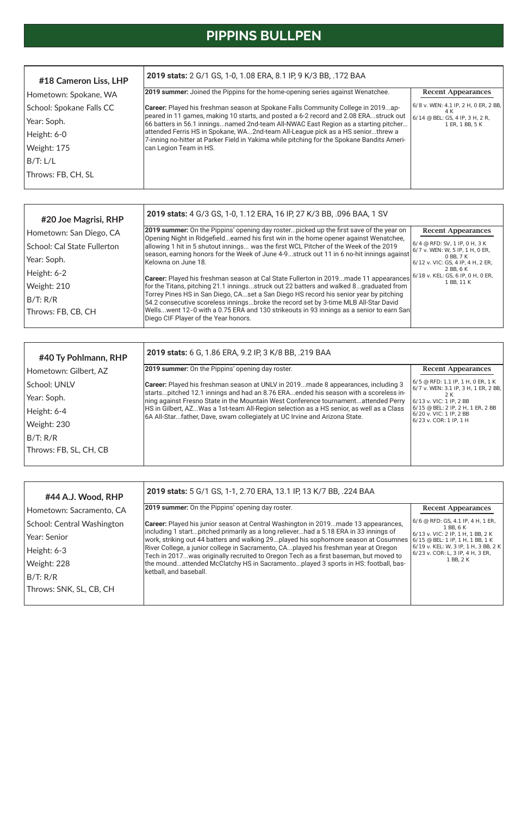# **PIPPINS BULLPEN**

| #44 A.J. Wood, RHP         | 2019 stats: 5 G/1 GS, 1-1, 2.70 ERA, 13.1 IP, 13 K/7 BB, .224 BAA                                                                                                                                                              |                                                                            |
|----------------------------|--------------------------------------------------------------------------------------------------------------------------------------------------------------------------------------------------------------------------------|----------------------------------------------------------------------------|
| Hometown: Sacramento, CA   | <b>2019 summer:</b> On the Pippins' opening day roster.                                                                                                                                                                        | <b>Recent Appearances</b>                                                  |
| School: Central Washington | <b>Career:</b> Played his junior season at Central Washington in 2019made 13 appearances,                                                                                                                                      | $6/6$ @ RFD: GS, 4.1 IP, 4 H, 1 ER,<br>1 BB, 6 K                           |
| Year: Senior               | lincluding 1 startpitched primarily as a long relieverhad a 5.18 ERA in 33 innings of<br>work, striking out 44 batters and walking 29played his sophomore season at Cosumnes $6/15 \text{ }^{\circ}$ BEL: 1 IP, 1 H, 1 BB, 1 K | $6/13$ v. VIC: 2 IP. 1 H. 1 BB. 2 K                                        |
| Height: 6-3                | River College, a junior college in Sacramento, CAplayed his freshman year at Oregon<br>Tech in 2017was originally recruited to Oregon Tech as a first baseman, but moved to                                                    | 6/19 v. KEL: W, 3 IP, 1 H, 3 BB, 2 K<br>$6/23$ v. COR: L, 3 IP, 4 H, 3 ER, |
| Weight: 228                | the moundattended McClatchy HS in Sacramentoplayed 3 sports in HS: football, bas-                                                                                                                                              | 1 BB, 2 K                                                                  |
| B/T: R/R                   | ketball, and baseball.                                                                                                                                                                                                         |                                                                            |
| Throws: SNK, SL, CB, CH    |                                                                                                                                                                                                                                |                                                                            |

| #40 Ty Pohlmann, RHP   | 2019 stats: 6 G, 1.86 ERA, 9.2 IP, 3 K/8 BB, .219 BAA                                                                                                                     |                                                                           |
|------------------------|---------------------------------------------------------------------------------------------------------------------------------------------------------------------------|---------------------------------------------------------------------------|
| Hometown: Gilbert, AZ  | 2019 summer: On the Pippins' opening day roster.                                                                                                                          | <b>Recent Appearances</b>                                                 |
| School: UNLV           | Career: Played his freshman season at UNLV in 2019made 8 appearances, including 3                                                                                         | 6/5 @ RFD: 1.1 IP, 1 H, 0 ER, 1 K<br>6/7 v. WEN: 3.1 IP, 3 H, 1 ER, 2 BB, |
| Year: Soph.            | startspitched 12.1 innings and had an 8.76 ERAended his season with a scoreless in-<br>ning against Fresno State in the Mountain West Conference tournamentattended Perry | 2 K<br>6/13 v. VIC: 1 IP, 2 BB                                            |
| Height: 6-4            | [HS in Gilbert, AZWas a 1st-team All-Region selection as a HS senior, as well as a Class<br>6A All-Starfather, Dave, swam collegiately at UC Irvine and Arizona State.    | 6/15 @ BEL: 2 IP, 2 H, 1 ER, 2 BB<br>6/20 v. VIC: 1 IP, 2 BB              |
| Weight: 230            |                                                                                                                                                                           | $6/23$ v. COR: 1 IP, 1 H                                                  |
| B/T: R/R               |                                                                                                                                                                           |                                                                           |
| Throws: FB, SL, CH, CB |                                                                                                                                                                           |                                                                           |
|                        |                                                                                                                                                                           |                                                                           |

| #18 Cameron Liss, LHP    | 2019 stats: 2 G/1 GS, 1-0, 1.08 ERA, 8.1 IP, 9 K/3 BB, .172 BAA                                                                                                               |                                                    |
|--------------------------|-------------------------------------------------------------------------------------------------------------------------------------------------------------------------------|----------------------------------------------------|
| Hometown: Spokane, WA    | 2019 summer: Joined the Pippins for the home-opening series against Wenatchee.                                                                                                | <b>Recent Appearances</b>                          |
| School: Spokane Falls CC | <b>Career:</b> Played his freshman season at Spokane Falls Community College in 2019ap-                                                                                       | 6/8 v. WEN: 4.1 IP, 2 H, 0 ER, 2 BB,<br>4 K        |
| Year: Soph.              | peared in 11 games, making 10 starts, and posted a 6-2 record and 2.08 ERAstruck out<br>66 batters in 56.1 inningsnamed 2nd-team All-NWAC East Region as a starting pitcher   | 6/14 @ BEL: GS, 4 IP, 3 H, 2 R,<br>1 ER, 1 BB, 5 K |
| Height: 6-0              | attended Ferris HS in Spokane, WA2nd-team All-League pick as a HS seniorthrew a<br>7-inning no-hitter at Parker Field in Yakima while pitching for the Spokane Bandits Ameri- |                                                    |
| Weight: 175              | can Legion Team in HS.                                                                                                                                                        |                                                    |
| B/T: L/L                 |                                                                                                                                                                               |                                                    |
| Throws: FB, CH, SL       |                                                                                                                                                                               |                                                    |

| #20 Joe Magrisi, RHP        | 2019 stats: 4 G/3 GS, 1-0, 1.12 ERA, 16 IP, 27 K/3 BB, .096 BAA, 1 SV                                                                                                           |                                                                      |
|-----------------------------|---------------------------------------------------------------------------------------------------------------------------------------------------------------------------------|----------------------------------------------------------------------|
| Hometown: San Diego, CA     | 2019 summer: On the Pippins' opening day rosterpicked up the first save of the year on<br>Opening Night in Ridgefieldearned his first win in the home opener against Wenatchee, | <b>Recent Appearances</b>                                            |
| School: Cal State Fullerton | allowing 1 hit in 5 shutout innings was the first WCL Pitcher of the Week of the 2019                                                                                           | $6/4$ @ RFD: SV, 1 IP, 0 H, 3 K<br>$6/7$ v. WEN: W, 5 IP, 1 H, 0 ER, |
| Year: Soph.                 | season, earning honors for the Week of June 4-9struck out 11 in 6 no-hit innings against<br>lKelowna on June 18.                                                                | 0 BB, 7 K<br>$6/12$ v. VIC: GS, 4 IP, 4 H, 2 ER,                     |
| Height: 6-2                 | Career: Played his freshman season at Cal State Fullerton in 2019made 11 appearances                                                                                            | 2 BB, 6 K<br>6/18 v. KEL: GS, 6 IP, 0 H, 0 ER,                       |
| Weight: 210                 | for the Titans, pitching 21.1 inningsstruck out 22 batters and walked 8graduated from                                                                                           | 1 BB, 11 K                                                           |
| B/T: R/R                    | Torrey Pines HS in San Diego, CAset a San Diego HS record his senior year by pitching<br>54.2 consecutive scoreless inningsbroke the record set by 3-time MLB All-Star David    |                                                                      |
| Throws: FB, CB, CH          | Wellswent 12-0 with a 0.75 ERA and 130 strikeouts in 93 innings as a senior to earn San<br>Diego CIF Player of the Year honors.                                                 |                                                                      |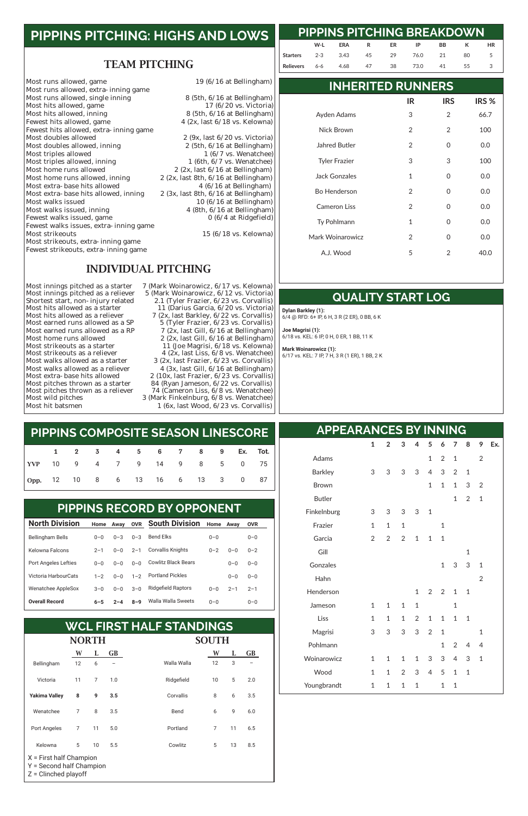### TEAM PITCHING

Most runs allowed, game<br>
19 (6/16 at Bellingham) Most runs allowed, extra-inning game Most runs allowed, single inning 8 (5th, 6/16 at Bellingham)<br>Most hits allowed, game 17 (6/20 vs. Victoria) Most hits allowed, game<br>Most hits allowed, inning Most hits allowed, inning 8 (5th, 6/16 at Bellingham)<br>Fewest hits allowed, game 4 (2x, last 6/18 vs. Kelowna) Fewest hits allowed, extra-inning game<br>Most doubles allowed Most doubles allowed, inning<br>Most triples allowed Most triples allowed, inning<br>Most home runs allowed Most home runs allowed<br>Most home runs allowed, inning  $2 (2x, \text{ last } 6/16 \text{ at Bellingham})$ <br> $2 (2x, \text{ last } 8\text{th}, \frac{6}{16} \text{ at Bellingham})$ Most extra-base hits allowed  $4 (6/16$  at Bellingham)<br>Most extra-base hits allowed, inning  $2 (3x, \text{last 8th}, 6/16 \text{ at Bellingham})$ Most extra-base hits allowed, inning<br>Most walks issued Most walks issued 10 (6/16 at Bellingham)<br>Most walks issued, inning 10 (6/16 at Bellingham) Fewest walks issued, game Fewest walks issues, extra-inning game Most strikeouts, extra-inning game Fewest strikeouts, extra-inning game

4 (2x, last  $6/18$  vs. Kelowna)

2 (9x, last  $6/20$  vs. Victoria)<br>2 (5th,  $6/16$  at Bellingham) 1 (6/7 vs. Wenatchee)<br>1 (6th,  $6/7$  vs. Wenatchee) 2 (2x, last 8th,  $6/16$  at Bellingham)<br>4 ( $6/16$  at Bellingham) 4 (8th,  $6/16$  at Bellingham)<br>0 (6/4 at Ridgefield)

 $15 (6/18 \text{ vs.}$  Kelowna)

#### INDIVIDUAL PITCHING

Shortest start, non-injury related<br>Most hits allowed as a starter

Most innings pitched as a starter 7 (Mark Woinarowicz, 6/17 vs. Kelowna)<br>Most innings pitched as a reliever 5 (Mark Woinarowicz, 6/12 vs. Victoria) 5 (Mark Woinarowicz, 6/12 vs. Victoria)<br>2.1 (Tyler Frazier, 6/23 vs. Corvallis) Most hits allowed as a starter 11 (Darius Garcia, 6/20 vs. Victoria)<br>Most hits allowed as a reliever 7 (2x, last Barkley, 6/22 vs. Corvallis) Most hits allowed as a reliever  $\frac{7 (2x)}{5 (T \text{V} \cdot \text{F} \cdot \text{F} \cdot \text{F} \cdot \text{F} \cdot \text{F} \cdot \text{F} \cdot \text{F} \cdot \text{F} \cdot \text{F} \cdot \text{F} \cdot \text{F} \cdot \text{F} \cdot \text{F} \cdot \text{F} \cdot \text{F} \cdot \text{F} \cdot \text{F} \cdot \text{F} \cdot \text{F} \cdot \text{F} \cdot \text{F} \cdot \text{F} \cdot \text{F} \cdot \text{F} \cdot \text$ Most earned runs allowed as a SP  $\qquad \qquad$  5 (Tyler Frazier, 6/23 vs. Corvallis)<br>Most earned runs allowed as a RP  $\qquad \qquad$  7 (2x. last Gill. 6/16 at Bellingham) Most earned runs allowed as a RP  $\qquad \qquad$  7 (2x, last Gill, 6/16 at Bellingham)<br>Most home runs allowed  $\qquad \qquad$  2 (2x, last Gill, 6/16 at Bellingham) Most home runs allowed<br>
Most strikeouts as a starter<br>
11 (Joe Magrisi, 6/18 vs. Kelowna) Most strikeouts as a starter  $11$  (Joe Magrisi,  $6/18$  vs. Kelowna)<br>Most strikeouts as a reliever  $4$  (2x, last Liss,  $6/8$  vs. Wenatchee) Most strikeouts as a reliever  $\begin{array}{r} 4 (2x, last \text{ Liss, } 6/8 \text{ vs. } \text{Wenatchee}) \ \text{Most walks allowed as a starter} \ 3 (2x, last \text{ Frazier, } 6/23 \text{ vs. } \text{Corvallis}) \end{array}$ Most walks allowed as a starter  $\begin{array}{r} 3 \text{ (2x, last Frazier, 6/23 vs. Corvallis)} \\ \text{Most walks allowed as a reliever} \end{array}$  4 (3x. last Gill. 6/16 at Bellingham) Most walks allowed as a reliever  $\begin{array}{r} 4 (3x, last Gill, 6/16 at Bellingham) \\ \text{Most extra-base hits allowed} \end{array}$  2 (10x, last Frazier, 6/23 vs. Corvallis) Most extra-base hits allowed 2 (10x, last Frazier, 6/23 vs. Corvallis)<br>Most pitches thrown as a starter 24 (Ryan Jameson, 6/22 vs. Corvallis) Most pitches thrown as a starter 84 (Ryan Jameson, 6/22 vs. Corvallis)<br>Most pitches thrown as a reliever 74 (Cameron Liss, 6/8 vs. Wenatchee) Most pitches thrown as a reliever 74 (Cameron Liss, 6/8 vs. Wenatchee)<br>Most wild pitches 3 (Mark Finkelnburg, 6/8 vs. Wenatchee) Most wild pitches 3 (Mark Finkelnburg, 6/8 vs. Wenatchee)<br>Most hit batsmen 1 (6x, last Wood, 6/23 vs. Corvallis)  $1$  (6x, last Wood,  $6/23$  vs. Corvallis)

# **PIPPINS PITCHING: HIGHS AND LOWS**

| 1 2 3 4 5 6 7 8 9 Ex. Tot.       |  |  |  |  |  |  |
|----------------------------------|--|--|--|--|--|--|
| YVP 10 9 4 7 9 14 9 8 5 0 75     |  |  |  |  |  |  |
| Opp. 12 10 8 6 13 16 6 13 3 0 87 |  |  |  |  |  |  |

# **PIPPINS COMPOSITE SEASON LINESCORE**

|  | <b>Overall Record</b> |
|--|-----------------------|
|--|-----------------------|

| <b>North Division</b>       | Home    | Away    | <b>OVR</b> | <b>South Division</b>      | Home    | Away    | <b>OVR</b> |  |
|-----------------------------|---------|---------|------------|----------------------------|---------|---------|------------|--|
| <b>Bellingham Bells</b>     | $0 - 0$ | $0 - 3$ | $0 - 3$    | Bend Elks                  | $0 - 0$ |         | $0 - 0$    |  |
| Kelowna Falcons             | $2 - 1$ | $0 - 0$ | $2 - 1$    | Corvallis Knights          | $0 - 2$ | $0 - 0$ | $0 - 2$    |  |
| <b>Port Angeles Lefties</b> | $0 - 0$ | $0 - 0$ | $0 - 0$    | <b>Cowlitz Black Bears</b> |         | $0 - 0$ | $0 - 0$    |  |
| Victoria HarbourCats        | $1 - 2$ | $0 - 0$ | $1 - 2$    | <b>Portland Pickles</b>    |         | $0 - 0$ | $0 - 0$    |  |
| Wenatchee AppleSox          | $3 - 0$ | $0 - 0$ | $3 - 0$    | <b>Ridgefield Raptors</b>  | $0 - 0$ | $2 - 1$ | $2 - 1$    |  |
|                             |         |         |            |                            |         |         |            |  |

### PIPPINS RECORD BY OPPONENT **PIPPINS RECORD BY OPPONENT**

0–0 0–0

|                                                                                 | <b>NORTH</b> |                |           |             | SOUTH |    |           |  |
|---------------------------------------------------------------------------------|--------------|----------------|-----------|-------------|-------|----|-----------|--|
|                                                                                 | W            | L              | <b>GB</b> |             | W     | L  | <b>GB</b> |  |
| Bellingham                                                                      | 12           | 6              |           | Walla Walla | 12    | 3  |           |  |
| Victoria                                                                        | 11           | $\overline{7}$ | 1.0       | Ridgefield  | 10    | 5  | 2.0       |  |
| <b>Yakima Valley</b>                                                            | 8            | 9              | 3.5       | Corvallis   | 8     | 6  | 3.5       |  |
| Wenatchee                                                                       | 7            | 8              | 3.5       | Bend        | 6     | 9  | 6.0       |  |
| Port Angeles                                                                    | 7            | 11             | 5.0       | Portland    | 7     | 11 | 6.5       |  |
| Kelowna                                                                         | 5            | 10             | 5.5       | Cowlitz     | 5     | 13 | 8.5       |  |
| $X =$ First half Champion<br>Y = Second half Champion<br>$Z =$ Clinched playoff |              |                |           |             |       |    |           |  |

|  | <b>WCL FIRST HALF STANDINGS</b> |  |  |  |  |
|--|---------------------------------|--|--|--|--|
|--|---------------------------------|--|--|--|--|

**PIPPINS PITCHING BREAKDOWN**

#### **INHERITED RUNNERS**

#### **QUALITY START LOG**

### **APPEARANCES BY INNING**

**W-L ERA R ER IP BB K HR**

**Starters** 2-3 3.43 45 29 76.0 21 80 5 **Relievers** 6-6 4.68 47 38 73.0 41 55 3

|                      | IR             | <b>IRS</b>    | IRS <sub>%</sub> |
|----------------------|----------------|---------------|------------------|
| Ayden Adams          | 3              | $\mathcal{P}$ | 66.7             |
| Nick Brown           | 2              | 2             | 100              |
| Jahred Butler        | $\mathcal{P}$  | 0             | 0.0              |
| <b>Tyler Frazier</b> | 3              | 3             | 100              |
| Jack Gonzales        | 1              | 0             | 0.0              |
| <b>Bo Henderson</b>  | $\mathfrak{D}$ | 0             | 0.0              |
| <b>Cameron Liss</b>  | $\mathcal{P}$  | 0             | 0.0              |
| Ty Pohlmann          | 1              | 0             | 0.0              |
| Mark Woinarowicz     | $\mathcal{P}$  | 0             | 0.0              |
| A.J. Wood            | 5              | $\mathcal{P}$ | 40.0             |

|                | 1 | $\overline{2}$ | 3 <sup>7</sup> |              | 4 5 6 7        |              |              | 8              | 9            | Ex. |
|----------------|---|----------------|----------------|--------------|----------------|--------------|--------------|----------------|--------------|-----|
| Adams          |   |                |                |              | $1 \quad$      | $2^{\circ}$  | $\mathbf{1}$ |                | 2            |     |
| <b>Barkley</b> | 3 | 3              | 3              | 3            | $\overline{4}$ | 3            | 2            | 1              |              |     |
| <b>Brown</b>   |   |                |                |              | 1              | $\mathbf{1}$ | $\mathbf{1}$ | 3              | 2            |     |
| <b>Butler</b>  |   |                |                |              |                |              | 1            | $\overline{2}$ | 1            |     |
| Finkelnburg    | 3 | 3              | $3 \quad 3$    |              | $\mathbf{1}$   |              |              |                |              |     |
| Frazier        | 1 | 1              | $\mathbf{1}$   |              |                | 1            |              |                |              |     |
| Garcia         | 2 | 2              | $\overline{2}$ | $\mathbf{1}$ | $\mathbf{1}$   | 1            |              |                |              |     |
| Gill           |   |                |                |              |                |              |              | 1              |              |     |
| Gonzales       |   |                |                |              |                | $\mathbf{1}$ | 3            | 3              | $\mathbf{1}$ |     |
| Hahn           |   |                |                |              |                |              |              |                | 2            |     |
| Henderson      |   |                |                | 1            | 2              | 2            | 1            | 1              |              |     |

| Jameson     | 1            | 1              | $1 \quad 1$ |                             |   | 1              |                          |    |
|-------------|--------------|----------------|-------------|-----------------------------|---|----------------|--------------------------|----|
| Liss        | 1            | 1              |             | $1 \t2 \t1 \t1$             |   | $\overline{1}$ | $\overline{\phantom{0}}$ |    |
| Magrisi     | 3            | 3              |             | 3 3 2 1                     |   |                |                          | 1  |
| Pohlmann    |              |                |             |                             |   |                | $1 \t2 \t4 \t4$          |    |
| Woinarowicz | $\mathbf{1}$ | $\overline{1}$ |             | $1 \quad 1 \quad 3 \quad 3$ |   | 4 3            |                          | -1 |
| Wood        | 1            | $\mathbf{1}$   |             | 2 3 4 5 1                   |   |                | $\overline{\phantom{0}}$ |    |
| Youngbrandt | 1            | 1              | 1           | $\mathbf{1}$                | 1 | 1              |                          |    |

**Dylan Barkley (1):**  6/4 @ RFD: 6+ IP, 6 H, 3 R (2 ER), 0 BB, 6 K

**Joe Magrisi (1):** 6/18 vs. KEL: 6 IP, 0 H, 0 ER, 1 BB, 11 K

**Mark Woinarowicz (1):** 6/17 vs. KEL: 7 IP, 7 H, 3 R (1 ER), 1 BB, 2 K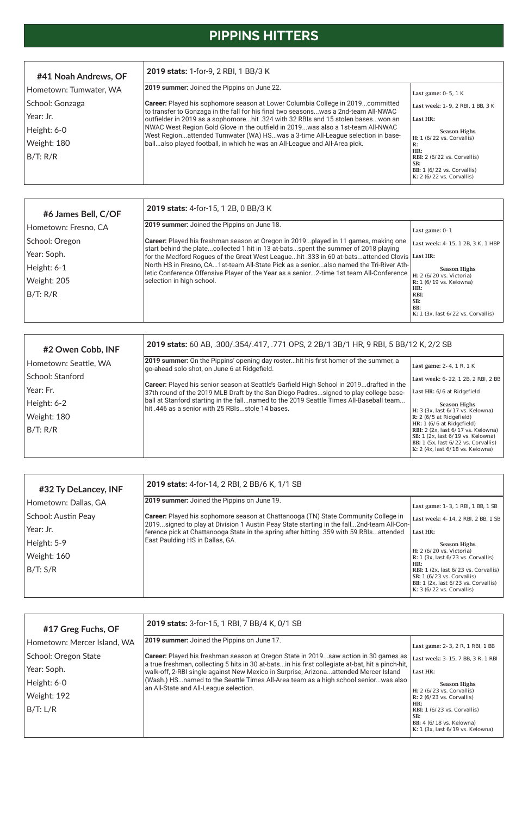# **PIPPINS HITTERS**

| #2 Owen Cobb, INF     | 2019 stats: 60 AB, .300/.354/.417, .771 OPS, 2 2B/1 3B/1 HR, 9 RBI, 5 BB/12 K, 2/2 SB                                                                                            |                                                                                                                                                                                                                  |
|-----------------------|----------------------------------------------------------------------------------------------------------------------------------------------------------------------------------|------------------------------------------------------------------------------------------------------------------------------------------------------------------------------------------------------------------|
| Hometown: Seattle, WA | [2019 summer: On the Pippins' opening day rosterhit his first homer of the summer, a<br>go-ahead solo shot, on June 6 at Ridgefield.                                             | Last game: 2-4, 1 R, 1 K                                                                                                                                                                                         |
| School: Stanford_     |                                                                                                                                                                                  | Last week: 6-22, 1 2B, 2 RBI, 2 BB                                                                                                                                                                               |
| Year: Fr.             | Career: Played his senior season at Seattle's Garfield High School in 2019drafted in the<br>37th round of the 2019 MLB Draft by the San Diego Padressigned to play college base- | Last HR: 6/6 at Ridgefield                                                                                                                                                                                       |
| Height: 6-2           | ball at Stanford starting in the fallnamed to the 2019 Seattle Times All-Baseball team<br>lhit .446 as a senior with 25 RBIs…stole 14 bases.                                     | <b>Season Highs</b>                                                                                                                                                                                              |
| Weight: 180           |                                                                                                                                                                                  | H: 3 (3x, last 6/17 vs. Kelowna)<br>$\mathbb{R}$ : 2 (6/5 at Ridgefield)                                                                                                                                         |
| B/T: R/R              |                                                                                                                                                                                  | HR: 1 (6/6 at Ridgefield)<br>RBI: $2$ (2x, last $6/17$ vs. Kelowna)<br>SB: 1 (2x, last 6/19 vs. Kelowna)<br>BB: $1$ (5x, last $6/22$ vs. Corvallis)<br>K: 2 $(4x, \text{last } 6/18 \text{ vs.} \text{ Kelown})$ |

| #17 Greg Fuchs, OF          | 2019 stats: 3-for-15, 1 RBI, 7 BB/4 K, 0/1 SB                                                                                                                                            |                                                                                                                        |
|-----------------------------|------------------------------------------------------------------------------------------------------------------------------------------------------------------------------------------|------------------------------------------------------------------------------------------------------------------------|
| Hometown: Mercer Island, WA | 2019 summer: Joined the Pippins on June 17.                                                                                                                                              | Last game: 2-3, 2 R, 1 RBI, 1 BB                                                                                       |
| School: Oregon State        | <b>Career:</b> Played his freshman season at Oregon State in 2019saw action in 30 games as                                                                                               | Last week: 3-15, 7 BB, 3 R, 1 RBI                                                                                      |
| Year: Soph.                 | a true freshman, collecting 5 hits in 30 at-batsin his first collegiate at-bat, hit a pinch-hit,<br>walk-off, 2-RBI single against New Mexico in Surprise, Arizonaattended Mercer Island | Last HR:                                                                                                               |
| Height: 6-0                 | (Wash.) HSnamed to the Seattle Times All-Area team as a high school seniorwas also<br>an All-State and All-League selection.                                                             | <b>Season Highs</b>                                                                                                    |
| Weight: 192                 |                                                                                                                                                                                          | $H: 2 (6/23 \text{ vs. Corvallis})$<br>$R: 2 (6/23 \text{ vs. Corvallis})$                                             |
| B/T: L/R                    |                                                                                                                                                                                          | HR:<br>RBI: $1(6/23 \text{ vs. Corvallis})$<br>SB:<br>BB: 4 (6/18 vs. Kelowna)<br>K: $1$ (3x, last $6/19$ vs. Kelowna) |

| #6 James Bell, C/OF  | 2019 stats: 4-for-15, 1 2B, 0 BB/3 K                                                                                                                                                 |                                                               |
|----------------------|--------------------------------------------------------------------------------------------------------------------------------------------------------------------------------------|---------------------------------------------------------------|
| Hometown: Fresno, CA | <b>2019 summer:</b> Joined the Pippins on June 18.                                                                                                                                   | Last game: $0-1$                                              |
| School: Oregon       | <b>Career:</b> Played his freshman season at Oregon in 2019played in 11 games, making one                                                                                            | Last week: 4-15, 1 2B, 3 K, 1 HBP                             |
| Year: Soph.          | start behind the platecollected 1 hit in 13 at-batsspent the summer of 2018 playing<br>for the Medford Rogues of the Great West Leaguehit .333 in 60 at-batsattended Clovis Last HR: |                                                               |
| Height: 6-1          | North HS in Fresno, CA1st-team All-State Pick as a senioralso named the Tri-River Ath-<br>letic Conference Offensive Player of the Year as a senior2-time 1st team All-Conference    | <b>Season Highs</b>                                           |
| Weight: 205          | selection in high school.                                                                                                                                                            | H: 2 (6/20 vs. Victoria)<br>$R: 1 (6/19 \text{ vs.}$ Kelowna) |
| B/T: R/R             |                                                                                                                                                                                      | HR:<br>RBI:                                                   |
|                      |                                                                                                                                                                                      | SB:<br>BB:<br>K: $1$ (3x, last $6/22$ vs. Corvallis)          |

| #32 Ty DeLancey, INF | 2019 stats: 4-for-14, 2 RBI, 2 BB/6 K, 1/1 SB                                                                                                                                  |                                                                                                                                                                       |
|----------------------|--------------------------------------------------------------------------------------------------------------------------------------------------------------------------------|-----------------------------------------------------------------------------------------------------------------------------------------------------------------------|
| Hometown: Dallas, GA | 2019 summer: Joined the Pippins on June 19.                                                                                                                                    | Last game: 1 - 3, 1 RBI, 1 BB, 1 SB                                                                                                                                   |
| School: Austin Peay  | Career: Played his sophomore season at Chattanooga (TN) State Community College in<br>2019signed to play at Division 1 Austin Peay State starting in the fall2nd-team All-Con- | Last week: 4-14, 2 RBI, 2 BB, 1 SB                                                                                                                                    |
| Year: Jr.            | ference pick at Chattanooga State in the spring after hitting .359 with 59 RBIsattended                                                                                        | Last HR:                                                                                                                                                              |
| Height: 5-9          | East Paulding HS in Dallas, GA.                                                                                                                                                | <b>Season Highs</b>                                                                                                                                                   |
| Weight: 160          |                                                                                                                                                                                | $H: 2 (6/20 \text{ vs. Victoria})$<br>$\mathbf{R}$ : 1 (3x, last 6/23 vs. Corvallis)                                                                                  |
| B/T: S/R             |                                                                                                                                                                                | HR:<br>RBI: $1$ (2x, last $6/23$ vs. Corvallis)<br>$SB: 1 (6/23 \text{ vs. Corvallis})$<br>BB: 1 (2x, last 6/23 vs. Corvallis)<br>$K: 3 (6/22 \text{ vs. Corvallis})$ |

| #41 Noah Andrews, OF   | 2019 stats: 1-for-9, 2 RBI, 1 BB/3 K                                                                                                                                    |                                                                                                                                 |  |  |  |  |  |
|------------------------|-------------------------------------------------------------------------------------------------------------------------------------------------------------------------|---------------------------------------------------------------------------------------------------------------------------------|--|--|--|--|--|
| Hometown: Tumwater, WA | <b>2019 summer:</b> Joined the Pippins on June 22.                                                                                                                      | Last game: $0-5$ , 1 K                                                                                                          |  |  |  |  |  |
| School: Gonzaga        | Career: Played his sophomore season at Lower Columbia College in 2019committed                                                                                          | Last week: 1-9, 2 RBI, 1 BB, 3 K                                                                                                |  |  |  |  |  |
| Year: Jr.              | to transfer to Gonzaga in the fall for his final two seasonswas a 2nd-team All-NWAC<br>outfielder in 2019 as a sophomorehit .324 with 32 RBIs and 15 stolen baseswon an | Last HR:                                                                                                                        |  |  |  |  |  |
| Height: 6-0            | NWAC West Region Gold Glove in the outfield in 2019was also a 1st-team All-NWAC<br>West Regionattended Tumwater (WA) HSwas a 3-time All-League selection in base-       | <b>Season Highs</b>                                                                                                             |  |  |  |  |  |
| Weight: 180            | ballalso played football, in which he was an All-League and All-Area pick.                                                                                              | $H: 1 (6/22 \text{ vs. Corvallis})$<br>R:                                                                                       |  |  |  |  |  |
| B/T: R/R               |                                                                                                                                                                         | HR:<br>RBI: $2(6/22 \text{ vs. Corvallis})$<br>SB:<br>BB: $1(6/22 \text{ vs. Corvallis})$<br>K: $2(6/22 \text{ vs. Corvallis})$ |  |  |  |  |  |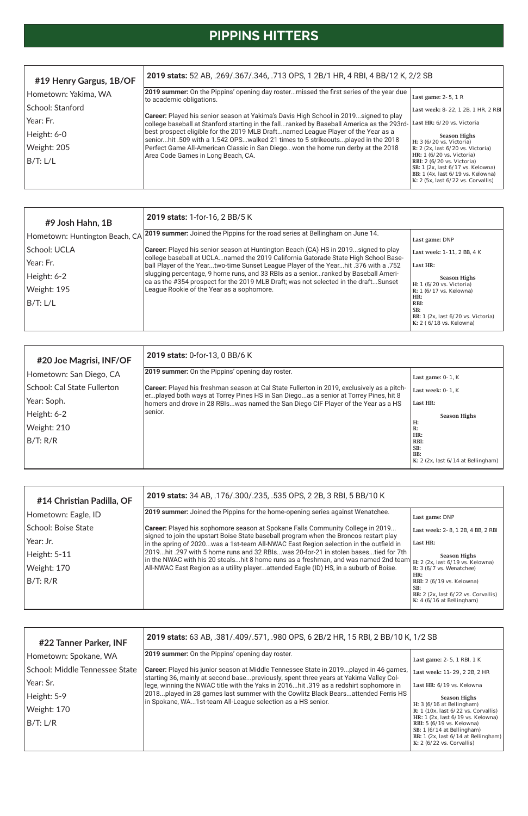# **PIPPINS HITTERS**

| #9 Josh Hahn, 1B               | 2019 stats: 1-for-16, 2 BB/5 K                                                                                                                                                  |                                                                                                  |
|--------------------------------|---------------------------------------------------------------------------------------------------------------------------------------------------------------------------------|--------------------------------------------------------------------------------------------------|
| Hometown: Huntington Beach, CA | 2019 summer: Joined the Pippins for the road series at Bellingham on June 14.                                                                                                   | Last game: DNP                                                                                   |
| School: UCLA                   | <b>Career:</b> Played his senior season at Huntington Beach (CA) HS in 2019signed to play<br>college baseball at UCLAnamed the 2019 California Gatorade State High School Base- | Last week: 1-11, 2 BB, 4 K                                                                       |
| Year: Fr.                      | ball Player of the Yeartwo-time Sunset League Player of the Yearhit .376 with a .752                                                                                            | Last HR:                                                                                         |
| Height: 6-2                    | slugging percentage, 9 home runs, and 33 RBIs as a seniorranked by Baseball Ameri-<br>ca as the #354 prospect for the 2019 MLB Draft; was not selected in the draftSunset       | <b>Season Highs</b>                                                                              |
| Weight: 195                    | League Rookie of the Year as a sophomore.                                                                                                                                       | H: 1 (6/20 vs. Victoria)<br>$R: 1 (6/17 \text{ vs. Kelown})$                                     |
| B/T: L/L                       |                                                                                                                                                                                 | HR:<br>RBI:<br>SB:<br>BB: $1$ (2x, last $6/20$ vs. Victoria)<br>$K: 2 (6/18 \text{ vs. Kelown})$ |

| #20 Joe Magrisi, INF/OF       | 2019 stats: 0-for-13, 0 BB/6 K                                                                                                                                            |                                                      |  |  |  |  |  |
|-------------------------------|---------------------------------------------------------------------------------------------------------------------------------------------------------------------------|------------------------------------------------------|--|--|--|--|--|
| Hometown: San Diego, CA       | <b>2019 summer:</b> On the Pippins' opening day roster.                                                                                                                   | Last game: $0-1$ , K                                 |  |  |  |  |  |
| l School: Cal State Fullerton | <b>Career:</b> Played his freshman season at Cal State Fullerton in 2019, exclusively as a pitch-                                                                         | Last week: 0-1, K                                    |  |  |  |  |  |
| Year: Soph.                   | erplayed both ways at Torrey Pines HS in San Diegoas a senior at Torrey Pines, hit 8<br>homers and drove in 28 RBIswas named the San Diego CIF Player of the Year as a HS | Last HR:                                             |  |  |  |  |  |
| Height: 6-2                   | lsenior.                                                                                                                                                                  | <b>Season Highs</b>                                  |  |  |  |  |  |
| Weight: 210                   |                                                                                                                                                                           | Н:<br>R:                                             |  |  |  |  |  |
| B/T: R/R                      |                                                                                                                                                                           | HR:<br>RBI:                                          |  |  |  |  |  |
|                               |                                                                                                                                                                           | SB:<br>BB:                                           |  |  |  |  |  |
|                               |                                                                                                                                                                           | K: 2 $(2x, \text{last } 6/14 \text{ at Bellingham})$ |  |  |  |  |  |

| #14 Christian Padilla, OF  | 2019 stats: 34 AB, .176/.300/.235, .535 OPS, 2 2B, 3 RBI, 5 BB/10 K                                                                                                                                          |                                                                                                                                                                                                                                   |  |  |  |  |
|----------------------------|--------------------------------------------------------------------------------------------------------------------------------------------------------------------------------------------------------------|-----------------------------------------------------------------------------------------------------------------------------------------------------------------------------------------------------------------------------------|--|--|--|--|
| Hometown: Eagle, ID        | [2019 summer: Joined the Pippins for the home-opening series against Wenatchee.                                                                                                                              | Last game: DNP                                                                                                                                                                                                                    |  |  |  |  |
| <b>School: Boise State</b> | Career: Played his sophomore season at Spokane Falls Community College in 2019                                                                                                                               | Last week: 2-8, 1 2B, 4 BB, 2 RBI                                                                                                                                                                                                 |  |  |  |  |
| Year: Jr.                  | signed to join the upstart Boise State baseball program when the Broncos restart play<br>in the spring of 2020was a 1st-team All-NWAC East Region selection in the outfield in                               | Last HR:                                                                                                                                                                                                                          |  |  |  |  |
| Height: 5-11               | 2019hit .297 with 5 home runs and 32 RBIswas 20-for-21 in stolen basestied for 7th<br>In the NWAC with his 20 stealshit 8 home runs as a freshman, and was named 2nd team $H: 2$ (2x, last 6/19 vs. Kelowna) | <b>Season Highs</b>                                                                                                                                                                                                               |  |  |  |  |
| Weight: 170                | All-NWAC East Region as a utility playerattended Eagle (ID) HS, in a suburb of Boise.                                                                                                                        | R: $3(6/7 \text{ vs. Wenatchee})$                                                                                                                                                                                                 |  |  |  |  |
| B/T: R/R                   |                                                                                                                                                                                                              | HR:<br><b>RBI:</b> 2 (6/19 vs. Kelowna)<br>SB:                                                                                                                                                                                    |  |  |  |  |
|                            |                                                                                                                                                                                                              | BB: $2$ (2x, last $6/22$ vs. Corvallis)<br>$\mathbf{I}^{\mathcal{F}}$ , $\mathbf{A}$ ( $\mathbf{A}$ ) ( $\mathbf{A}$ ) $\mathbf{A}$ ) = $\mathbf{B}$ , $\mathbf{B}$ , $\mathbf{B}$ , $\mathbf{A}$ ) = $\mathbf{A}$ , $\mathbf{A}$ |  |  |  |  |

| #22 Tanner Parker, INF         | 2019 stats: 63 AB, .381/.409/.571, .980 OPS, 6 2B/2 HR, 15 RBI, 2 BB/10 K, 1/2 SB                                                                                              |                                                                                                                                                                                           |
|--------------------------------|--------------------------------------------------------------------------------------------------------------------------------------------------------------------------------|-------------------------------------------------------------------------------------------------------------------------------------------------------------------------------------------|
| Hometown: Spokane, WA          | <b>2019 summer:</b> On the Pippins' opening day roster.                                                                                                                        | Last game: 2-5, 1 RBI, 1 K                                                                                                                                                                |
| School: Middle Tennessee State | Career: Played his junior season at Middle Tennessee State in 2019played in 46 games,<br>starting 36, mainly at second basepreviously, spent three years at Yakima Valley Col- | Last week: 11-29, 2 2B, 2 HR                                                                                                                                                              |
| Year: Sr.                      | lege, winning the NWAC title with the Yaks in 2016hit .319 as a redshirt sophomore in                                                                                          | Last HR: 6/19 vs. Kelowna                                                                                                                                                                 |
| Height: 5-9                    | 2018played in 28 games last summer with the Cowlitz Black Bearsattended Ferris HS<br>In Spokane, WA1st-team All-League selection as a HS senior.                               | <b>Season Highs</b>                                                                                                                                                                       |
| Weight: 170                    |                                                                                                                                                                                | H: $3(6/16$ at Bellingham)<br>R: $1(10x, last 6/22 vs. Corvallis)$                                                                                                                        |
| B/T: L/R                       |                                                                                                                                                                                | HR: $1$ (2x, last $6/19$ vs. Kelowna)<br><b>RBI:</b> 5 (6/19 vs. Kelowna)<br>SB: $1(6/14$ at Bellingham)<br>BB: $1$ (2x, last $6/14$ at Bellingham)<br>K: $2(6/22 \text{ vs. Corvallis})$ |

| #19 Henry Gargus, 1B/OF | 2019 stats: 52 AB, .269/.367/.346, .713 OPS, 1 2B/1 HR, 4 RBI, 4 BB/12 K, 2/2 SB                                                                                                                                                                                                                                                                                                                                                               |                                                                                                                                                        |  |  |  |  |  |
|-------------------------|------------------------------------------------------------------------------------------------------------------------------------------------------------------------------------------------------------------------------------------------------------------------------------------------------------------------------------------------------------------------------------------------------------------------------------------------|--------------------------------------------------------------------------------------------------------------------------------------------------------|--|--|--|--|--|
| Hometown: Yakima, WA    | [2019 summer: On the Pippins' opening day rostermissed the first series of the year due<br>to academic obligations.                                                                                                                                                                                                                                                                                                                            | Last game: $2-5$ , 1 R                                                                                                                                 |  |  |  |  |  |
| School: Stanford        |                                                                                                                                                                                                                                                                                                                                                                                                                                                | Last week: 8-22, 1 2B, 1 HR, 2 RBI                                                                                                                     |  |  |  |  |  |
| Year: Fr.               | Career: Played his senior season at Yakima's Davis High School in 2019signed to play<br>college baseball at Stanford starting in the fallranked by Baseball America as the 293rd-<br>best prospect eligible for the 2019 MLB Draftnamed League Player of the Year as a<br>seniorhit .509 with a 1.542 OPSwalked 21 times to 5 strikeoutsplayed in the 2018<br>Perfect Game All-American Classic in San Diegowon the home run derby at the 2018 | Last HR: 6/20 vs. Victoria                                                                                                                             |  |  |  |  |  |
| Height: 6-0             |                                                                                                                                                                                                                                                                                                                                                                                                                                                | <b>Season Highs</b>                                                                                                                                    |  |  |  |  |  |
| Weight: 205             |                                                                                                                                                                                                                                                                                                                                                                                                                                                | $H: 3 (6/20 \text{ vs. Victoria})$<br>$\mathbb{R}$ : 2 (2x, last 6/20 vs. Victoria)<br>HR: 1 (6/20 vs. Victoria)                                       |  |  |  |  |  |
| B/T: L/L                | Area Code Games in Long Beach, CA.                                                                                                                                                                                                                                                                                                                                                                                                             | RBI: 2 (6/20 vs. Victoria)<br>SB: $1$ (2x, last $6/17$ vs. Kelowna)<br>BB: $1$ (4x, last $6/19$ vs. Kelowna)<br>$K: 2$ (5x, last $6/22$ vs. Corvallis) |  |  |  |  |  |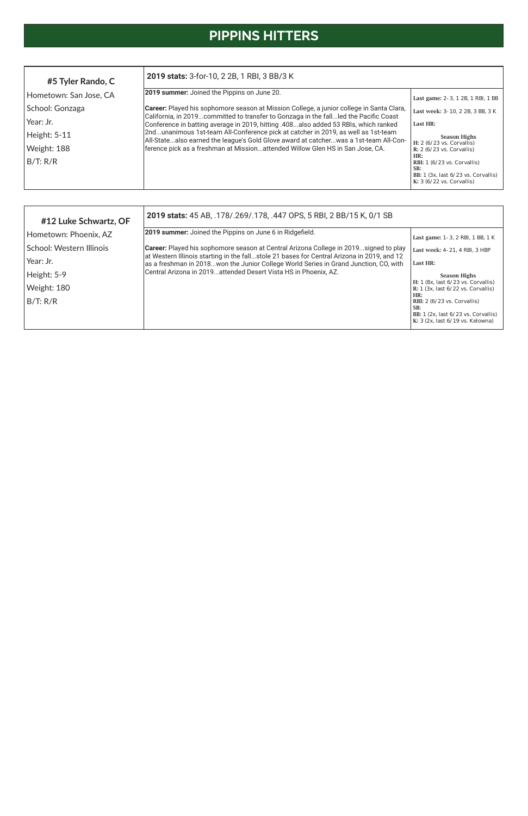# **PIPPINS HITTERS**

| #12 Luke Schwartz, OF    | 2019 stats: 45 AB, .178/.269/.178, .447 OPS, 5 RBI, 2 BB/15 K, 0/1 SB                                                                                                              |                                                                                                                                       |  |  |  |  |
|--------------------------|------------------------------------------------------------------------------------------------------------------------------------------------------------------------------------|---------------------------------------------------------------------------------------------------------------------------------------|--|--|--|--|
| Hometown: Phoenix, AZ    | 2019 summer: Joined the Pippins on June 6 in Ridgefield.                                                                                                                           | Last game: 1-3, 2 RBI, 1 BB, 1 K                                                                                                      |  |  |  |  |
| School: Western Illinois | Career: Played his sophomore season at Central Arizona College in 2019signed to play<br>at Western Illinois starting in the fallstole 21 bases for Central Arizona in 2019, and 12 | Last week: 4-21, 4 RBI, 3 HBP                                                                                                         |  |  |  |  |
| Year: Jr.                | as a freshman in 2018won the Junior College World Series in Grand Junction, CO, with                                                                                               | Last HR:                                                                                                                              |  |  |  |  |
| Height: 5-9              | Central Arizona in 2019attended Desert Vista HS in Phoenix, AZ.                                                                                                                    | <b>Season Highs</b>                                                                                                                   |  |  |  |  |
| Weight: 180              |                                                                                                                                                                                    | H: 1 (8x, last 6/23 vs. Corvallis)<br>R: $1$ (3x, last $6/22$ vs. Corvallis)                                                          |  |  |  |  |
| B/T: R/R                 |                                                                                                                                                                                    | HR:<br>RBI: $2(6/23 \text{ vs. Corvallis})$<br>SB:<br>BB: $1$ (2x, last $6/23$ vs. Corvallis)<br>K: $3$ (2x, last $6/19$ vs. Kelowna) |  |  |  |  |

| #5 Tyler Rando, C      | 2019 stats: 3-for-10, 2 2B, 1 RBI, 3 BB/3 K                                                                                                                                 |                                                                                                                                     |  |  |  |  |  |
|------------------------|-----------------------------------------------------------------------------------------------------------------------------------------------------------------------------|-------------------------------------------------------------------------------------------------------------------------------------|--|--|--|--|--|
| Hometown: San Jose, CA | 2019 summer: Joined the Pippins on June 20.                                                                                                                                 | Last game: 2-3, 1 2B, 1 RBI, 1 BB                                                                                                   |  |  |  |  |  |
| School: Gonzaga        | <b>Career:</b> Played his sophomore season at Mission College, a junior college in Santa Clara,                                                                             | Last week: 3-10, 2 2B, 3 BB, 3 K                                                                                                    |  |  |  |  |  |
| Year: Jr.              | California, in 2019committed to transfer to Gonzaga in the fallled the Pacific Coast<br>Conference in batting average in 2019, hitting .408also added 53 RBIs, which ranked | Last HR:                                                                                                                            |  |  |  |  |  |
| Height: 5-11           | 2ndunanimous 1st-team All-Conference pick at catcher in 2019, as well as 1st-team<br>All-Statealso earned the league's Gold Glove award at catcherwas a 1st-team All-Con-   | <b>Season Highs</b>                                                                                                                 |  |  |  |  |  |
| Weight: 188            | ference pick as a freshman at Missionattended Willow Glen HS in San Jose, CA.                                                                                               | H: $2(6/23$ vs. Corvallis)<br>R: $2(6/23$ vs. Corvallis)                                                                            |  |  |  |  |  |
| B/T: R/R               |                                                                                                                                                                             | HR:<br>RBI: $1(6/23 \text{ vs. Corvallis})$<br>SB:<br>BB: $1$ (3x, last $6/23$ vs. Corvallis)<br>K: $3(6/22 \text{ vs. Corvallis})$ |  |  |  |  |  |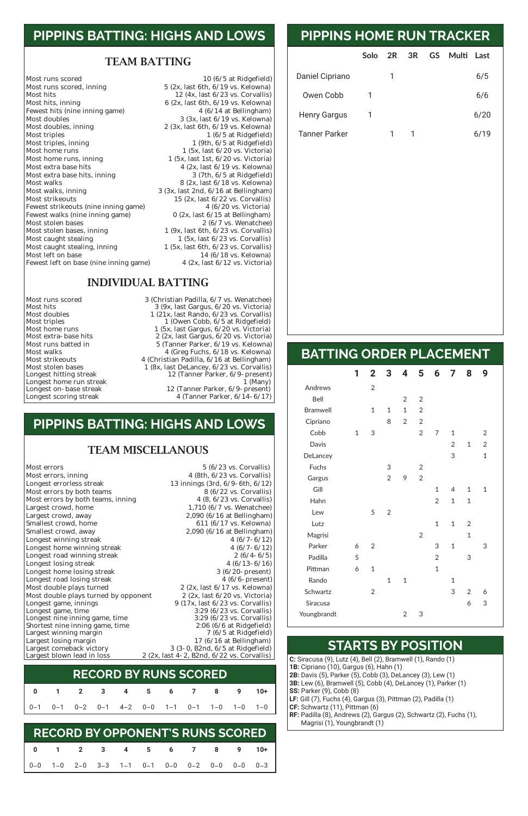### **PIPPINS BATTING: HIGHS AND LOWS**

#### TEAM BATTING

Most hits 12 (4x, last 6/23 vs. Corvallis)<br>Most hits, inning 6 (2x, last 6th, 6/19 vs. Kelowna) Fewest hits (nine inning game)<br>Most doubles Most doubles<br>Most doubles, inning<br> $\begin{array}{ccc} & 3 & (3x, \text{ last } 6/19 \text{ vs.} \text{ Kelowna}) \\ & & 2 & (3x, \text{ last } 6\text{ th}, \frac{6}{19} \text{ vs.} \text{ Kelowna}) \end{array}$ Most doubles, inning 2 (3x, last 6th, 6/19 vs. Kelowna)<br>Most triples 1 (6/5 at Ridgefield) Most triples<br>
Most triples, inning<br>
Most triples, inning<br>  $1 (6/5 at Ridgefield)$ <br>  $1 (9th, 6/5 at Ridgefield)$ Most triples, inning 1 (9th, 6/5 at Ridgefield)<br>Most home runs 1 (5x, last 6/20 vs. Victoria) Most home runs<br>Most home runs, inning<br> $\begin{array}{ccc} 1 & (5x, \text{ last } 6/20 \text{ vs. Victoria}) \\ 1 & (5x, \text{ last } 1st, 6/20 \text{ vs. Victoria}) \end{array}$ Most home runs, inning 1 (5x, last 1st, 6/20 vs. Victoria)<br>Most extra base hits 4 (2x, last 6/19 vs. Kelowna) Most extra base hits, inning Most walks<br>Most walks, inning and the set of the set of the Sandara Sandara (2x, last 6/18 vs. Kelowna)<br>Most walks, inning and Sandara Sandara (3x, last 2nd, 6/16 at Bellingham) Most walks, inning 3 (3x, last 2nd, 6/16 at Bellingham)<br>Most strikeouts 15 (2x, last 6/22 vs. Corvallis) Fewest strikeouts (nine inning game)  $4(6/20 \text{ vs. Victoria})$ <br>Fewest walks (nine inning game)  $0(2x, \text{ last } 6/15 \text{ at Bellingham})$ Fewest walks (nine inning game)<br>Most stolen bases Most stolen bases<br>Most stolen bases, inning 1 (9x, last 6th, 6/23 vs. Corvallis) Most caught stealing 1 (5x, last 6/23 vs. Corvallis)<br>Most caught stealing, inning 1 (5x, last 6th, 6/23 vs. Corvallis) Most caught stealing, inning 1 (5x, last 6th, 6/23 vs. Corvallis)<br>Most left on base 14 (6/18 vs. Kelowna) Fewest left on base (nine inning game)

Most runs scored<br>Most runs scored, inning<br>Most runs scored, inning<br>Most runs scored, inning<br>Most runs scored, inning<br>Most runs scored, inning  $5$  (2x, last 6th,  $6/19$  vs. Kelowna) 6 (2x, last 6th,  $6/19$  vs. Kelowna)<br>4 ( $6/14$  at Bellingham) 4 (2x, last  $6/19$  vs. Kelowna)<br>3 (7th,  $6/5$  at Ridgefield) 15 (2x, last  $6/22$  vs. Corvallis)<br>4  $(6/20$  vs. Victoria)  $1$  (9x, last 6th, 6/23 vs. Corvallis) 14 (6/18 vs. Kelowna)<br>4 (2x, last  $6/12$  vs. Victoria)

#### INDIVIDUAL BATTING

Longest home run streak<br>Longest on- base streak

Most runs scored 3 (Christian Padilla, 6/7 vs. Wenatchee)<br>Most hits 3 (9x. last Gargus, 6/20 vs. Victoria) Most hits<br>Most doubles 3 (9x, last Gargus, 6/20 vs. Victoria)<br>1 (21x, last Rando, 6/23 vs. Corvallis) Most doubles 1 (21x, last Rando, 6/23 vs. Corvallis)<br>Most triples 1 (Owen Cobb, 6/5 at Ridgefield) Most triples<br>Most home runs and the compact of the cobb, 6/5 at Ridgefield)<br>Most home runs and the compact of the compact of the compact of the contract of the compact of the compact of<br>Most home runs and the compact of th Most home runs 1 (5x, last Gargus, 6/20 vs. Victoria) Most extra-base hits 2 (2x, last Gargus, 6/20 vs. Victoria)<br>Most runs batted in 5 (Tanner Parker, 6/19 vs. Kelowna) Most runs batted in 5 (Tanner Parker, 6/19 vs. Kelowna) Most walks<br>Most strikeouts 4 (Christian Padilla, 6/18 vs. Kelowna)<br>4 (Christian Padilla, 6/16 at Bellingham) Most strikeouts 4 (Christian Padilla, 6/16 at Bellingham)<br>Most stolen bases 1 (8x, last DeLancey, 6/23 vs. Corvallis) Most stolen bases 1 (8x, last DeLancey, 6/23 vs. Corvallis)<br>Longest hitting streak 12 (Tanner Parker, 6/9- present) 12 (Tanner Parker,  $6/9$ -present)<br>1 (Many) Longest on- base streak 12 (Tanner Parker, 6/9-present)<br>Longest scoring streak 4 (Tanner Parker, 6/14-6/17) 4 (Tanner Parker,  $6/14-6/17$ )

|                      | Solo | 2R | 3R | GS Multi | Last |  |
|----------------------|------|----|----|----------|------|--|
| Daniel Cipriano      |      |    |    |          | 6/5  |  |
| Owen Cobb            | 1    |    |    |          | 6/6  |  |
| <b>Henry Gargus</b>  |      |    |    |          | 6/20 |  |
| <b>Tanner Parker</b> |      |    |    |          | 6/19 |  |

# **PIPPINS HOME RUN TRACKER**

### **BATTING ORDER PLACEMENT**

|                 | 1            | $\overline{2}$ | 3              | 4              | 5              | 6              | $\overline{7}$ | 8              | 9              |
|-----------------|--------------|----------------|----------------|----------------|----------------|----------------|----------------|----------------|----------------|
| Andrews         |              | $\overline{2}$ |                |                |                |                |                |                |                |
| Bell            |              |                |                | $\overline{2}$ | $\overline{2}$ |                |                |                |                |
| <b>Bramwell</b> |              | $\mathbf{1}$   | $\mathbf 1$    | $\overline{1}$ | $\overline{2}$ |                |                |                |                |
| Cipriano        |              |                | 8              | $\sqrt{2}$     | $\overline{2}$ |                |                |                |                |
| Cobb            | $\mathbf{1}$ | 3              |                |                | $\overline{2}$ | 7              | $\mathbf 1$    |                | $\overline{2}$ |
| Davis           |              |                |                |                |                |                | $\overline{2}$ | $\mathbf 1$    | $\overline{2}$ |
| DeLancey        |              |                |                |                |                |                | 3              |                | $\mathbf 1$    |
| <b>Fuchs</b>    |              |                | 3              |                | $\overline{2}$ |                |                |                |                |
| Gargus          |              |                | $\overline{2}$ | 9              | $\overline{2}$ |                |                |                |                |
| Gill            |              |                |                |                |                | $\mathbf{1}$   | 4              | $\mathbf{1}$   | $\mathbf 1$    |
| Hahn            |              |                |                |                |                | $\overline{2}$ | $\mathbf 1$    | $\mathbf 1$    |                |
| Lew             |              | 5              | $\overline{2}$ |                |                |                |                |                |                |
| Lutz            |              |                |                |                |                | $\mathbf{1}$   | $\mathbf 1$    | $\overline{2}$ |                |
| Magrisi         |              |                |                |                | $\overline{2}$ |                |                | $\mathbf{1}$   |                |
| Parker          | 6            | $\overline{2}$ |                |                |                | 3              | $\mathbf 1$    |                | 3              |
| Padilla         | 5            |                |                |                |                | $\overline{2}$ |                | 3              |                |
| Pittman         | 6            | $\mathbf{1}$   |                |                |                | $\mathbf{1}$   |                |                |                |
| Rando           |              |                | $\overline{1}$ | $\overline{1}$ |                |                | $\mathbf 1$    |                |                |
| Schwartz        |              | $\overline{2}$ |                |                |                |                | 3              | $\overline{2}$ | 6              |

Youngbrandt 2 3

**SS: Parker (9), Cobb (8)** 

**C:** Siracusa (9), Lutz (4), Bell (2), Bramwell (1), Rando (1)

**1B:** Cipriano (10), Gargus (6), Hahn (1)

**2B:** Davis (5), Parker (5), Cobb (3), DeLancey (3), Lew (1) **3B:** Lew (6), Bramwell (5), Cobb (4), DeLancey (1), Parker (1)

**LF:** Gill (7), Fuchs (4), Gargus (3), Pittman (2), Padilla (1)

**CF:** Schwartz (11), Pittman (6)

**RF:** Padilla (8), Andrews (2), Gargus (2), Schwartz (2), Fuchs (1),

Magrisi (1), Youngbrandt (1)

**STARTS BY POSITION**

### **PIPPINS BATTING: HIGHS AND LOWS**

#### TEAM MISCELLANOUS

Most errors<br>
Most errors, inning<br>
Most errors, inning<br>  $\begin{array}{r} 5 \ (6/23 \text{ vs. Corvallis}) \\ 4 \ (8th, 6/23 \text{ vs. Corvallis}) \end{array}$ Most errors, inning 4 (8th, 6/23 vs. Corvallis)<br>
Longest errorless streak 13 innings (3rd, 6/9-6th, 6/12) Most errors by both teams<br>
Most errors by both teams, inning<br>  $\begin{array}{r} 8 (6/22 \text{ vs. Corvallis}) \\ 4 (8, 6/23 \text{ vs. Corvallis}) \end{array}$ Most errors by both teams, inning<br>Largest crowd, home Largest crowd, home 1,710 (6/7 vs. Wenatchee)<br>
Largest crowd, away 2,090 (6/16 at Bellingham) Largest crowd, away 2,090 (6/16 at Bellingham)<br>Smallest crowd, home 611 (6/17 vs. Kelowna) Smallest crowd, home<br>
Smallest crowd, away 611 (6/17 vs. Kelowna)<br>
2,090 (6/16 at Bellingham) Longest winning streak 4 (6/7-6/12)<br>
Longest home winning streak 4 (6/7-6/12) Longest home winning streak 4 (6/7-6/12)<br>
Longest road winning streak 2 (6/4-6/5) Longest road winning streak 2 (6/4-6/5)<br>
Longest losing streak 2 (6/13-6/16) Longest losing streak 4 (6/13-6/16)<br>
Longest home losing streak 3 (6/20-present) Longest home losing streak 3 (6/20-present)<br>
Longest road losing streak 4 (6/6-present) Longest road losing streak 4 (6/6- present)<br>Most double plays turned 2 (2x, last 6/17 vs. Kelowna) Most double plays turned  $2 (2x, \text{last } 6/17 \text{ vs. Kelowna})$ <br>Most double plays turned by opponent  $2 (2x, \text{last } 6/20 \text{ vs. Victoria})$ Most double plays turned by opponent

13 innings (3rd, 6/9-6th, 6/12)<br>8 (6/22 vs. Corvallis) 2,090 (6/16 at Bellingham)<br>4 (6/7-6/12)

| Longest game, innings           | 9(17x, last 6/23 vs. Corvallis)              |
|---------------------------------|----------------------------------------------|
| Longest game, time              | 3:29 (6/23 vs. Corvallis)                    |
| Longest nine inning game, time  | 3:29 (6/23 vs. Corvallis)                    |
| Shortest nine inning game, time | 2:06 (6/6 at Ridgefield) $\vert$             |
| Largest winning margin          | $7(6/5$ at Ridgefield)                       |
| Largest losing margin           | 17 ( $6/16$ at Bellingham)                   |
| Largest comeback victory        | $3(3-0, B2nd, 6/5$ at Ridgefield)            |
| Largest blown lead in loss      | 2 (2x, last 4-2, B2nd, $6/22$ vs. Corvallis) |

|  |  | 0 1 2 3 4 5 6 7 8 9 10+                                                                                                 |  |  |  |
|--|--|-------------------------------------------------------------------------------------------------------------------------|--|--|--|
|  |  | $\begin{vmatrix} 0 & -1 & 0 & -1 & 0 & -2 & 0 & -1 & 4 & -2 & 0 & -0 & 1 & -1 & 0 & -1 & 1 & -0 & 1 & -0 \end{vmatrix}$ |  |  |  |

### **RECORD BY RUNS SCORED**

|  |  |  | 0 1 2 3 4 5 6 7 8 9 10+                                                                                                         |  |  |
|--|--|--|---------------------------------------------------------------------------------------------------------------------------------|--|--|
|  |  |  | $\begin{vmatrix} 0 & -0 & 1 & -0 & 2 & -0 & 3 & -3 & 1 & -1 & 0 & -1 & 0 & -0 & 0 & -2 & 0 & -0 & 0 & 0 & 0 & -3 \end{vmatrix}$ |  |  |

# **RECORD BY OPPONENT'S RUNS SCORED**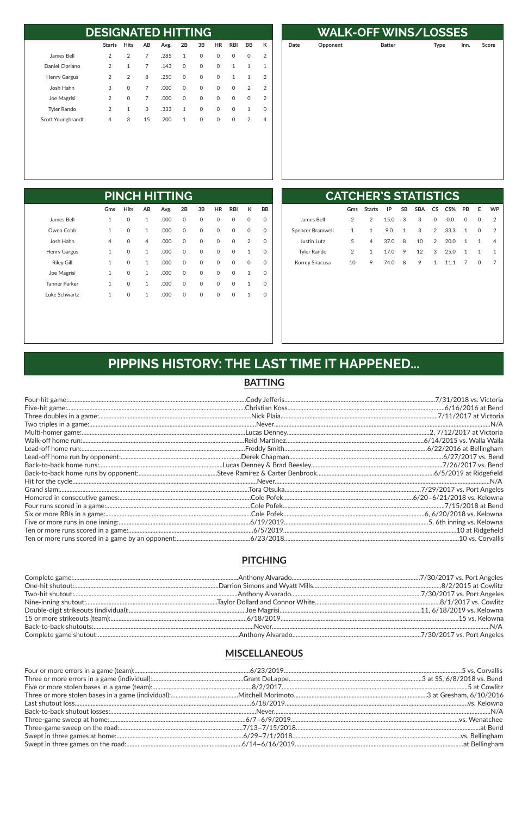| <b>DESIGNATED HITTING</b> |               |                |    |      |              |              |           |              |                |                |
|---------------------------|---------------|----------------|----|------|--------------|--------------|-----------|--------------|----------------|----------------|
|                           | <b>Starts</b> | <b>Hits</b>    | AB | Avg. | 2B           | 3B           | <b>HR</b> | <b>RBI</b>   | <b>BB</b>      | к              |
| James Bell                | 2             | $\overline{2}$ | 7  | .285 | 1            | $\mathbf{0}$ | 0         | $\Omega$     | $\Omega$       | $\overline{2}$ |
| Daniel Cipriano           | 2             | $\mathbf{1}$   | 7  | .143 | $\Omega$     | $\Omega$     | 0         | 1            | $\mathbf{1}$   | 1              |
| <b>Henry Gargus</b>       | 2             | 2              | 8  | .250 | $\Omega$     | $\Omega$     | $\Omega$  | 1            | $\mathbf{1}$   | $\mathcal{P}$  |
| Josh Hahn                 | 3             | $\Omega$       | 7  | .000 | $\Omega$     | $\Omega$     | 0         | $\Omega$     | 2              | 2              |
| Joe Magrisi               | 2             | $\Omega$       | 7  | .000 | $\Omega$     | $\mathbf{0}$ | $\Omega$  | $\mathbf{0}$ | $\Omega$       | 2              |
| <b>Tyler Rando</b>        | 2             | $\mathbf{1}$   | 3  | .333 | 1            | $\Omega$     | $\Omega$  | $\Omega$     | 1              | 0              |
| Scott Youngbrandt         | 4             | 3              | 15 | .200 | $\mathbf{1}$ | $\Omega$     | 0         | $\Omega$     | $\overline{2}$ | 4              |

|      | <b>WALK-OFF WINS/LOSSES</b> |               |             |      |       |  |  |  |  |
|------|-----------------------------|---------------|-------------|------|-------|--|--|--|--|
| Date | Opponent                    | <b>Batter</b> | <b>Type</b> | Inn. | Score |  |  |  |  |
|      |                             |               |             |      |       |  |  |  |  |
|      |                             |               |             |      |       |  |  |  |  |
|      |                             |               |             |      |       |  |  |  |  |
|      |                             |               |             |      |       |  |  |  |  |
|      |                             |               |             |      |       |  |  |  |  |
|      |                             |               |             |      |       |  |  |  |  |
|      |                             |               |             |      |       |  |  |  |  |
|      |                             |               |             |      |       |  |  |  |  |
|      |                             |               |             |      |       |  |  |  |  |
|      |                             |               |             |      |       |  |  |  |  |
|      |                             |               |             |      |       |  |  |  |  |

|                      |                |             |                | <b>PINCH HITTING</b> |             |             |              |              |                |          |
|----------------------|----------------|-------------|----------------|----------------------|-------------|-------------|--------------|--------------|----------------|----------|
|                      | Gms            | <b>Hits</b> | AB             | Avg.                 | 2B          | 3B          | <b>HR</b>    | <b>RBI</b>   | К              | BB       |
| James Bell           | $\mathbf{1}$   | 0           | $\mathbf{1}$   | .000                 | 0           | $\mathbf 0$ | $\mathsf{O}$ | 0            | 0              | 0        |
| Owen Cobb            | $\mathbf{1}$   | 0           | $\mathbf{1}$   | .000                 | 0           | $\mathbf 0$ | $\mathsf{O}$ | $\mathsf{O}$ | $\mathbf 0$    | 0        |
| Josh Hahn            | $\overline{4}$ | 0           | $\overline{4}$ | .000                 | $\mathbf 0$ | $\Omega$    | $\mathsf{O}$ | $\mathsf{O}$ | $\overline{2}$ | $\Omega$ |
| <b>Henry Gargus</b>  | $\mathbf{1}$   | 0           | $\mathbf{1}$   | .000                 | $\mathbf 0$ | $\mathbf 0$ | $\mathbf 0$  | $\mathsf{O}$ | $\mathbf{1}$   | $\Omega$ |
| <b>Riley Gill</b>    | $\mathbf{1}$   | 0           | $\mathbf{1}$   | .000                 | $\mathbf 0$ | $\Omega$    | $\mathsf{O}$ | $\Omega$     | $\mathbf 0$    | $\Omega$ |
| Joe Magrisi          | $\mathbf{1}$   | 0           | $\mathbf{1}$   | .000                 | $\mathbf 0$ | $\Omega$    | $\mathsf{O}$ | $\Omega$     | $\mathbf{1}$   | $\Omega$ |
| <b>Tanner Parker</b> | $\mathbf{1}$   | 0           | $\mathbf{1}$   | .000                 | $\mathbf 0$ | $\mathbf 0$ | $\mathsf{O}$ | 0            | $\mathbf{1}$   | $\Omega$ |
| Luke Schwartz        | $\mathbf{1}$   | 0           | $\mathbf{1}$   | .000                 | $\mathbf 0$ | $\Omega$    | $\mathsf{O}$ | $\Omega$     | $\mathbf{1}$   | $\Omega$ |
|                      |                |             |                |                      |             |             |              |              |                |          |

| <b>CATCHER'S STATISTICS</b> |     |               |      |           |            |               |      |              |              |               |
|-----------------------------|-----|---------------|------|-----------|------------|---------------|------|--------------|--------------|---------------|
|                             | Gms | <b>Starts</b> | IP   | <b>SB</b> | <b>SBA</b> | CS —          | CS%  | <b>PB</b>    | E.           | <b>WP</b>     |
| James Bell                  | 2   | 2             | 15.0 | 3         | 3          | 0             | 0.0  | $\Omega$     | $\Omega$     | $\mathcal{P}$ |
| Spencer Bramwell            | 1   | 1             | 9.0  | 1         | 3          | $\mathcal{P}$ | 33.3 | $\mathbf{1}$ | $\Omega$     | $\mathcal{P}$ |
| Justin Lutz                 | 5   | 4             | 37.0 | 8         | 10         | $\mathcal{P}$ | 20.0 | 1            | 1            | 4             |
| <b>Tyler Rando</b>          | 2   | 1             | 17.0 | 9         | 12         | 3             | 25.0 | 1            | -1           | 1             |
| Korrey Siracusa             | 10  | 9             | 74.0 | 8         | 9          | 1             | 111  | 7            | <sup>o</sup> |               |
|                             |     |               |      |           |            |               |      |              |              |               |

# PIPPINS HISTORY: THE LAST TIME IT HAPPENED...

### **BATTING**

### **PITCHING**

#### **MISCELLANEOUS**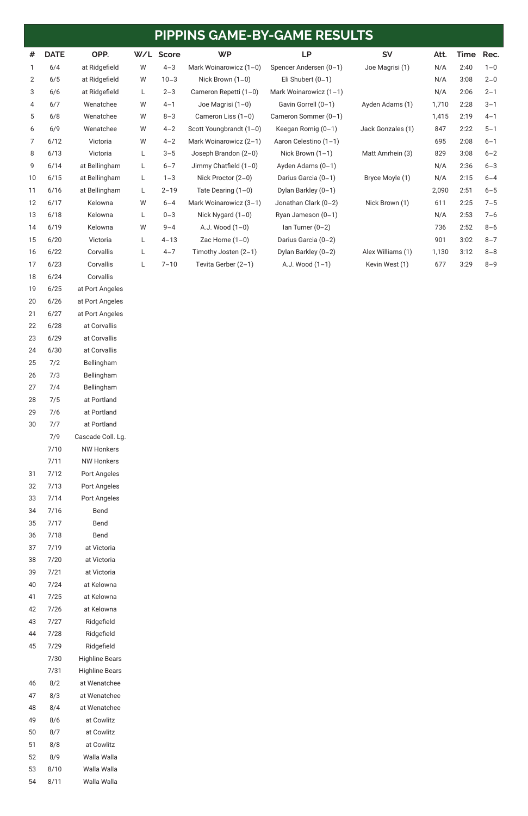| #              | <b>DATE</b> | OPP.            | W/L | <b>Score</b> | <b>WP</b>               | <b>LP</b>              | <b>SV</b>         | Att.  | <b>Time</b> | Rec.    |
|----------------|-------------|-----------------|-----|--------------|-------------------------|------------------------|-------------------|-------|-------------|---------|
| $\mathbf{1}$   | 6/4         | at Ridgefield   | W   | $4 - 3$      | Mark Woinarowicz (1-0)  | Spencer Andersen (0-1) | Joe Magrisi (1)   | N/A   | 2:40        | $1 - 0$ |
| $\overline{2}$ | 6/5         | at Ridgefield   | W   | $10 - 3$     | Nick Brown $(1-0)$      | Eli Shubert $(0-1)$    |                   | N/A   | 3:08        | $2 - 0$ |
| 3              | 6/6         | at Ridgefield   | L   | $2 - 3$      | Cameron Repetti (1-0)   | Mark Woinarowicz (1-1) |                   | N/A   | 2:06        | $2 - 1$ |
| 4              | 6/7         | Wenatchee       | W   | $4 - 1$      | Joe Magrisi (1-0)       | Gavin Gorrell (0-1)    | Ayden Adams (1)   | 1,710 | 2:28        | $3 - 1$ |
| 5              | 6/8         | Wenatchee       | W   | $8 - 3$      | Cameron Liss (1-0)      | Cameron Sommer (0-1)   |                   | 1,415 | 2:19        | $4 - 1$ |
| 6              | 6/9         | Wenatchee       | W   | $4 - 2$      | Scott Youngbrandt (1-0) | Keegan Romig (0-1)     | Jack Gonzales (1) | 847   | 2:22        | $5 - 1$ |
| $\overline{7}$ | 6/12        | Victoria        | W   | $4 - 2$      | Mark Woinarowicz (2-1)  | Aaron Celestino (1-1)  |                   | 695   | 2:08        | $6 - 1$ |
| 8              | 6/13        | Victoria        | L   | $3 - 5$      | Joseph Brandon (2-0)    | Nick Brown $(1-1)$     | Matt Amrhein (3)  | 829   | 3:08        | $6 - 2$ |
| 9              | 6/14        | at Bellingham   | L   | $6 - 7$      | Jimmy Chatfield $(1-0)$ | Ayden Adams (0-1)      |                   | N/A   | 2:36        | $6 - 3$ |
| 10             | 6/15        | at Bellingham   | L   | $1 - 3$      | Nick Proctor (2-0)      | Darius Garcia (0-1)    | Bryce Moyle (1)   | N/A   | 2:15        | $6 - 4$ |
| 11             | 6/16        | at Bellingham   | L   | $2 - 19$     | Tate Dearing $(1-0)$    | Dylan Barkley (0-1)    |                   | 2,090 | 2:51        | $6 - 5$ |
| 12             | 6/17        | Kelowna         | W   | $6 - 4$      | Mark Woinarowicz (3-1)  | Jonathan Clark (0-2)   | Nick Brown (1)    | 611   | 2:25        | $7 - 5$ |
| 13             | 6/18        | Kelowna         | L   | $0 - 3$      | Nick Nygard $(1-0)$     | Ryan Jameson (0-1)     |                   | N/A   | 2:53        | $7 - 6$ |
| 14             | 6/19        | Kelowna         | W   | $9 - 4$      | A.J. Wood $(1-0)$       | $lan Turner (0-2)$     |                   | 736   | 2:52        | $8 - 6$ |
| 15             | 6/20        | Victoria        | L   | $4 - 13$     | Zac Horne $(1-0)$       | Darius Garcia (0-2)    |                   | 901   | 3:02        | $8 - 7$ |
| 16             | 6/22        | Corvallis       | L   | $4 - 7$      | Timothy Josten (2-1)    | Dylan Barkley (0-2)    | Alex Williams (1) | 1,130 | 3:12        | $8 - 8$ |
| 17             | 6/23        | Corvallis       | L   | $7 - 10$     | Tevita Gerber (2-1)     | A.J. Wood (1-1)        | Kevin West (1)    | 677   | 3:29        | $8 - 9$ |
| 18             | 6/24        | Corvallis       |     |              |                         |                        |                   |       |             |         |
| 19             | 6/25        | at Port Angeles |     |              |                         |                        |                   |       |             |         |
| 20             | 6/26        | at Port Angeles |     |              |                         |                        |                   |       |             |         |
| 21             | 6/27        | at Port Angeles |     |              |                         |                        |                   |       |             |         |
| 22             | 6/28        | at Corvallis    |     |              |                         |                        |                   |       |             |         |

 6/29 at Corvallis 6/30 at Corvallis 7/2 Bellingham

| 26 | 7/3  | Bellingham        |
|----|------|-------------------|
| 27 | 7/4  | Bellingham        |
| 28 | 7/5  | at Portland       |
| 29 | 7/6  | at Portland       |
| 30 | 7/7  | at Portland       |
|    | 7/9  | Cascade Coll. Lg. |
|    | 7/10 | NW Honkers        |
|    | 7/11 | NW Honkers        |
| 31 | 7/12 | Port Angeles      |
| 32 | 7/13 | Port Angeles      |
| 33 | 7/14 | Port Angeles      |
| 34 | 7/16 | Bend              |
| 35 | 7/17 | Bend              |
| 36 | 7/18 | Bend              |
| 37 | 7/19 | at Victoria       |
| 38 | 7/20 | at Victoria       |
| 39 | 7/21 | at Victoria       |
| 40 | 7/24 | at Kelowna        |

7/25 at Kelowna

| 42 | 7/26 | at Kelowna            |
|----|------|-----------------------|
| 43 | 7/27 | Ridgefield            |
| 44 | 7/28 | Ridgefield            |
| 45 | 7/29 | Ridgefield            |
|    | 7/30 | <b>Highline Bears</b> |
|    | 7/31 | Highline Bears        |
| 46 | 8/2  | at Wenatchee          |
| 47 | 8/3  | at Wenatchee          |
| 48 | 8/4  | at Wenatchee          |
| 49 | 8/6  | at Cowlitz            |
| 50 | 8/7  | at Cowlitz            |
| 51 | 8/8  | at Cowlitz            |
| 52 | 8/9  | Walla Walla           |
| 53 | 8/10 | Walla Walla           |
| 54 | 8/11 | Walla Walla           |

# **PIPPINS GAME-BY-GAME RESULTS**